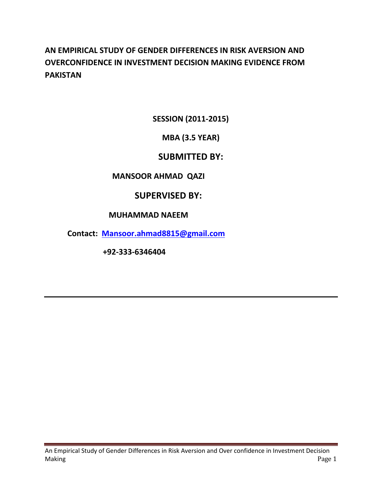# **AN EMPIRICAL STUDY OF GENDER DIFFERENCES IN RISK AVERSION AND OVERCONFIDENCE IN INVESTMENT DECISION MAKING EVIDENCE FROM PAKISTAN**

**SESSION (2011-2015)**

# **MBA (3.5 YEAR)**

# **SUBMITTED BY:**

### **MANSOOR AHMAD QAZI**

# **SUPERVISED BY:**

### **MUHAMMAD NAEEM**

**Contact: [Mansoor.ahmad8815@gmail.com](mailto:Mansoor.ahmad8815@gmail.com)**

 **+92-333-6346404**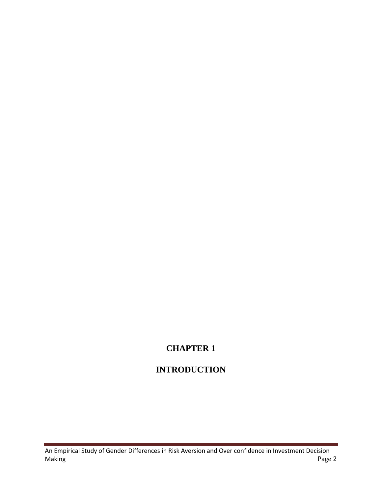# **CHAPTER 1**

# **INTRODUCTION**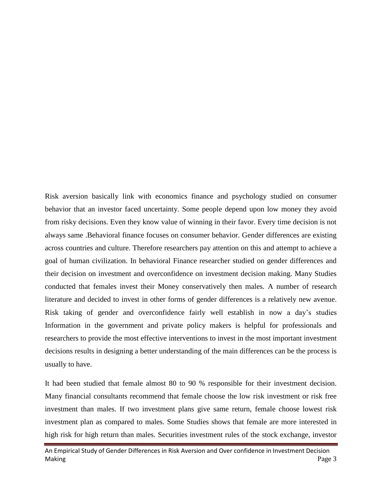Risk aversion basically link with economics finance and psychology studied on consumer behavior that an investor faced uncertainty. Some people depend upon low money they avoid from risky decisions. Even they know value of winning in their favor. Every time decision is not always same .Behavioral finance focuses on consumer behavior. Gender differences are existing across countries and culture. Therefore researchers pay attention on this and attempt to achieve a goal of human civilization. In behavioral Finance researcher studied on gender differences and their decision on investment and overconfidence on investment decision making. Many Studies conducted that females invest their Money conservatively then males. A number of research literature and decided to invest in other forms of gender differences is a relatively new avenue. Risk taking of gender and overconfidence fairly well establish in now a day's studies Information in the government and private policy makers is helpful for professionals and researchers to provide the most effective interventions to invest in the most important investment decisions results in designing a better understanding of the main differences can be the process is usually to have.

It had been studied that female almost 80 to 90 % responsible for their investment decision. Many financial consultants recommend that female choose the low risk investment or risk free investment than males. If two investment plans give same return, female choose lowest risk investment plan as compared to males. Some Studies shows that female are more interested in high risk for high return than males. Securities investment rules of the stock exchange, investor

An Empirical Study of Gender Differences in Risk Aversion and Over confidence in Investment Decision Making Page 3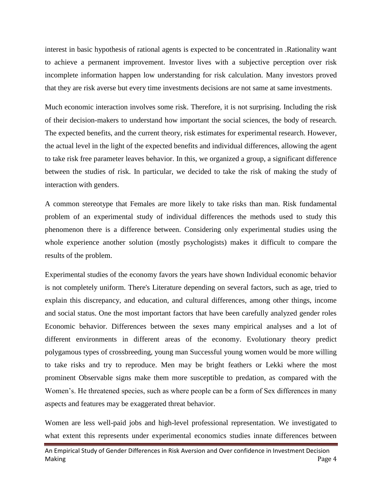interest in basic hypothesis of rational agents is expected to be concentrated in .Rationality want to achieve a permanent improvement. Investor lives with a subjective perception over risk incomplete information happen low understanding for risk calculation. Many investors proved that they are risk averse but every time investments decisions are not same at same investments.

Much economic interaction involves some risk. Therefore, it is not surprising. Including the risk of their decision-makers to understand how important the social sciences, the body of research. The expected benefits, and the current theory, risk estimates for experimental research. However, the actual level in the light of the expected benefits and individual differences, allowing the agent to take risk free parameter leaves behavior. In this, we organized a group, a significant difference between the studies of risk. In particular, we decided to take the risk of making the study of interaction with genders.

A common stereotype that Females are more likely to take risks than man. Risk fundamental problem of an experimental study of individual differences the methods used to study this phenomenon there is a difference between. Considering only experimental studies using the whole experience another solution (mostly psychologists) makes it difficult to compare the results of the problem.

Experimental studies of the economy favors the years have shown Individual economic behavior is not completely uniform. There's Literature depending on several factors, such as age, tried to explain this discrepancy, and education, and cultural differences, among other things, income and social status. One the most important factors that have been carefully analyzed gender roles Economic behavior. Differences between the sexes many empirical analyses and a lot of different environments in different areas of the economy. Evolutionary theory predict polygamous types of crossbreeding, young man Successful young women would be more willing to take risks and try to reproduce. Men may be bright feathers or Lekki where the most prominent Observable signs make them more susceptible to predation, as compared with the Women's. He threatened species, such as where people can be a form of Sex differences in many aspects and features may be exaggerated threat behavior.

Women are less well-paid jobs and high-level professional representation. We investigated to what extent this represents under experimental economics studies innate differences between

An Empirical Study of Gender Differences in Risk Aversion and Over confidence in Investment Decision Making Page 4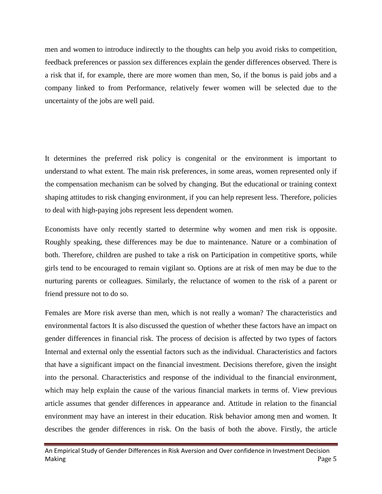men and women to introduce indirectly to the thoughts can help you avoid risks to competition, feedback preferences or passion sex differences explain the gender differences observed. There is a risk that if, for example, there are more women than men, So, if the bonus is paid jobs and a company linked to from Performance, relatively fewer women will be selected due to the uncertainty of the jobs are well paid.

It determines the preferred risk policy is congenital or the environment is important to understand to what extent. The main risk preferences, in some areas, women represented only if the compensation mechanism can be solved by changing. But the educational or training context shaping attitudes to risk changing environment, if you can help represent less. Therefore, policies to deal with high-paying jobs represent less dependent women.

Economists have only recently started to determine why women and men risk is opposite. Roughly speaking, these differences may be due to maintenance. Nature or a combination of both. Therefore, children are pushed to take a risk on Participation in competitive sports, while girls tend to be encouraged to remain vigilant so. Options are at risk of men may be due to the nurturing parents or colleagues. Similarly, the reluctance of women to the risk of a parent or friend pressure not to do so.

Females are More risk averse than men, which is not really a woman? The characteristics and environmental factors It is also discussed the question of whether these factors have an impact on gender differences in financial risk. The process of decision is affected by two types of factors Internal and external only the essential factors such as the individual. Characteristics and factors that have a significant impact on the financial investment. Decisions therefore, given the insight into the personal. Characteristics and response of the individual to the financial environment, which may help explain the cause of the various financial markets in terms of. View previous article assumes that gender differences in appearance and. Attitude in relation to the financial environment may have an interest in their education. Risk behavior among men and women. It describes the gender differences in risk. On the basis of both the above. Firstly, the article

An Empirical Study of Gender Differences in Risk Aversion and Over confidence in Investment Decision Making Page 5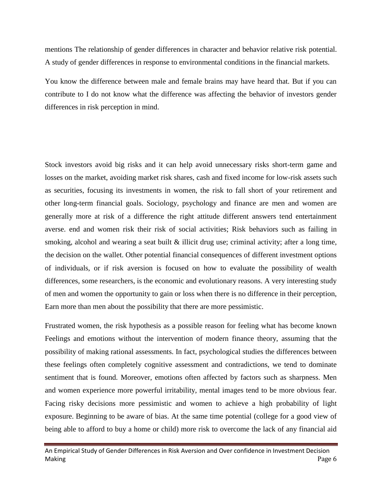mentions The relationship of gender differences in character and behavior relative risk potential. A study of gender differences in response to environmental conditions in the financial markets.

You know the difference between male and female brains may have heard that. But if you can contribute to I do not know what the difference was affecting the behavior of investors gender differences in risk perception in mind.

Stock investors avoid big risks and it can help avoid unnecessary risks short-term game and losses on the market, avoiding market risk shares, cash and fixed income for low-risk assets such as securities, focusing its investments in women, the risk to fall short of your retirement and other long-term financial goals. Sociology, psychology and finance are men and women are generally more at risk of a difference the right attitude different answers tend entertainment averse. end and women risk their risk of social activities; Risk behaviors such as failing in smoking, alcohol and wearing a seat built & illicit drug use; criminal activity; after a long time, the decision on the wallet. Other potential financial consequences of different investment options of individuals, or if risk aversion is focused on how to evaluate the possibility of wealth differences, some researchers, is the economic and evolutionary reasons. A very interesting study of men and women the opportunity to gain or loss when there is no difference in their perception, Earn more than men about the possibility that there are more pessimistic.

Frustrated women, the risk hypothesis as a possible reason for feeling what has become known Feelings and emotions without the intervention of modern finance theory, assuming that the possibility of making rational assessments. In fact, psychological studies the differences between these feelings often completely cognitive assessment and contradictions, we tend to dominate sentiment that is found. Moreover, emotions often affected by factors such as sharpness. Men and women experience more powerful irritability, mental images tend to be more obvious fear. Facing risky decisions more pessimistic and women to achieve a high probability of light exposure. Beginning to be aware of bias. At the same time potential (college for a good view of being able to afford to buy a home or child) more risk to overcome the lack of any financial aid

An Empirical Study of Gender Differences in Risk Aversion and Over confidence in Investment Decision Making Page 6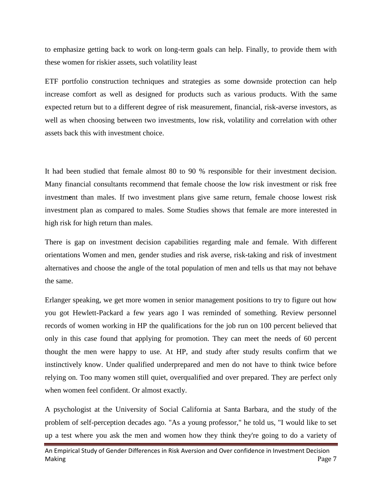to emphasize getting back to work on long-term goals can help. Finally, to provide them with these women for riskier assets, such volatility least

ETF portfolio construction techniques and strategies as some downside protection can help increase comfort as well as designed for products such as various products. With the same expected return but to a different degree of risk measurement, financial, risk-averse investors, as well as when choosing between two investments, low risk, volatility and correlation with other assets back this with investment choice.

It had been studied that female almost 80 to 90 % responsible for their investment decision. Many financial consultants recommend that female choose the low risk investment or risk free investm**e**nt than males. If two investment plans give same return, female choose lowest risk investment plan as compared to males. Some Studies shows that female are more interested in high risk for high return than males.

There is gap on investment decision capabilities regarding male and female. With different orientations Women and men, gender studies and risk averse, risk-taking and risk of investment alternatives and choose the angle of the total population of men and tells us that may not behave the same.

Erlanger speaking, we get more women in senior management positions to try to figure out how you got Hewlett-Packard a few years ago I was reminded of something. Review personnel records of women working in HP the qualifications for the job run on 100 percent believed that only in this case found that applying for promotion. They can meet the needs of 60 percent thought the men were happy to use. At HP, and study after study results confirm that we instinctively know. Under qualified underprepared and men do not have to think twice before relying on. Too many women still quiet, overqualified and over prepared. They are perfect only when women feel confident. Or almost exactly.

A psychologist at the University of Social California at Santa Barbara, and the study of the problem of self-perception decades ago. "As a young professor," he told us, "I would like to set up a test where you ask the men and women how they think they're going to do a variety of

An Empirical Study of Gender Differences in Risk Aversion and Over confidence in Investment Decision Making Page 7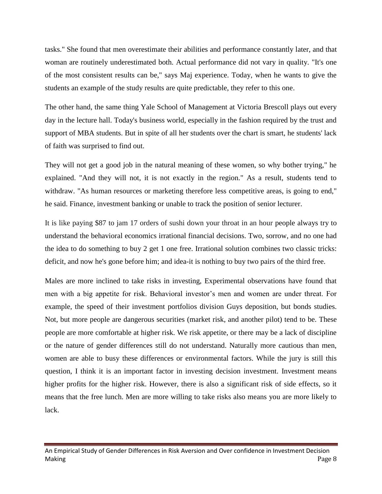tasks." She found that men overestimate their abilities and performance constantly later, and that woman are routinely underestimated both. Actual performance did not vary in quality. "It's one of the most consistent results can be," says Maj experience. Today, when he wants to give the students an example of the study results are quite predictable, they refer to this one.

The other hand, the same thing Yale School of Management at Victoria Brescoll plays out every day in the lecture hall. Today's business world, especially in the fashion required by the trust and support of MBA students. But in spite of all her students over the chart is smart, he students' lack of faith was surprised to find out.

They will not get a good job in the natural meaning of these women, so why bother trying," he explained. "And they will not, it is not exactly in the region." As a result, students tend to withdraw. "As human resources or marketing therefore less competitive areas, is going to end," he said. Finance, investment banking or unable to track the position of senior lecturer.

It is like paying \$87 to jam 17 orders of sushi down your throat in an hour people always try to understand the behavioral economics irrational financial decisions. Two, sorrow, and no one had the idea to do something to buy 2 get 1 one free. Irrational solution combines two classic tricks: deficit, and now he's gone before him; and idea-it is nothing to buy two pairs of the third free.

Males are more inclined to take risks in investing, Experimental observations have found that men with a big appetite for risk. Behavioral investor's men and women are under threat. For example, the speed of their investment portfolios division Guys deposition, but bonds studies. Not, but more people are dangerous securities (market risk, and another pilot) tend to be. These people are more comfortable at higher risk. We risk appetite, or there may be a lack of discipline or the nature of gender differences still do not understand. Naturally more cautious than men, women are able to busy these differences or environmental factors. While the jury is still this question, I think it is an important factor in investing decision investment. Investment means higher profits for the higher risk. However, there is also a significant risk of side effects, so it means that the free lunch. Men are more willing to take risks also means you are more likely to lack.

An Empirical Study of Gender Differences in Risk Aversion and Over confidence in Investment Decision Making Page 8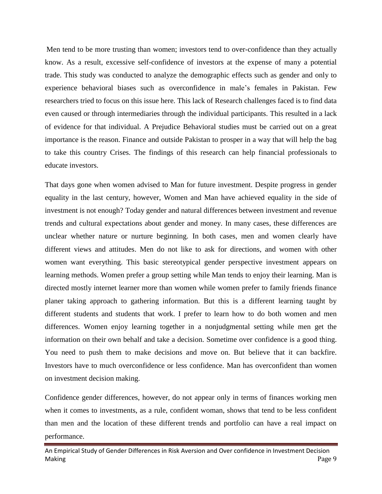Men tend to be more trusting than women; investors tend to over-confidence than they actually know. As a result, excessive self-confidence of investors at the expense of many a potential trade. This study was conducted to analyze the demographic effects such as gender and only to experience behavioral biases such as overconfidence in male's females in Pakistan. Few researchers tried to focus on this issue here. This lack of Research challenges faced is to find data even caused or through intermediaries through the individual participants. This resulted in a lack of evidence for that individual. A Prejudice Behavioral studies must be carried out on a great importance is the reason. Finance and outside Pakistan to prosper in a way that will help the bag to take this country Crises. The findings of this research can help financial professionals to educate investors.

That days gone when women advised to Man for future investment. Despite progress in gender equality in the last century, however, Women and Man have achieved equality in the side of investment is not enough? Today gender and natural differences between investment and revenue trends and cultural expectations about gender and money. In many cases, these differences are unclear whether nature or nurture beginning. In both cases, men and women clearly have different views and attitudes. Men do not like to ask for directions, and women with other women want everything. This basic stereotypical gender perspective investment appears on learning methods. Women prefer a group setting while Man tends to enjoy their learning. Man is directed mostly internet learner more than women while women prefer to family friends finance planer taking approach to gathering information. But this is a different learning taught by different students and students that work. I prefer to learn how to do both women and men differences. Women enjoy learning together in a nonjudgmental setting while men get the information on their own behalf and take a decision. Sometime over confidence is a good thing. You need to push them to make decisions and move on. But believe that it can backfire. Investors have to much overconfidence or less confidence. Man has overconfident than women on investment decision making.

Confidence gender differences, however, do not appear only in terms of finances working men when it comes to investments, as a rule, confident woman, shows that tend to be less confident than men and the location of these different trends and portfolio can have a real impact on performance.

An Empirical Study of Gender Differences in Risk Aversion and Over confidence in Investment Decision Making Page 9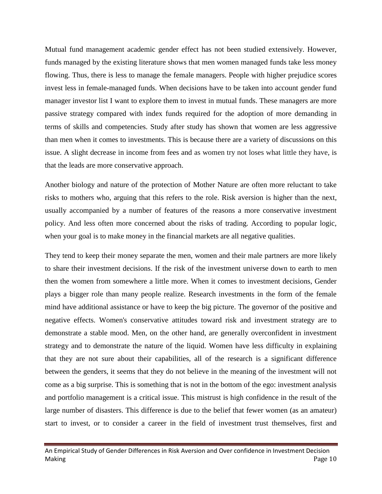Mutual fund management academic gender effect has not been studied extensively. However, funds managed by the existing literature shows that men women managed funds take less money flowing. Thus, there is less to manage the female managers. People with higher prejudice scores invest less in female-managed funds. When decisions have to be taken into account gender fund manager investor list I want to explore them to invest in mutual funds. These managers are more passive strategy compared with index funds required for the adoption of more demanding in terms of skills and competencies. Study after study has shown that women are less aggressive than men when it comes to investments. This is because there are a variety of discussions on this issue. A slight decrease in income from fees and as women try not loses what little they have, is that the leads are more conservative approach.

Another biology and nature of the protection of Mother Nature are often more reluctant to take risks to mothers who, arguing that this refers to the role. Risk aversion is higher than the next, usually accompanied by a number of features of the reasons a more conservative investment policy. And less often more concerned about the risks of trading. According to popular logic, when your goal is to make money in the financial markets are all negative qualities.

They tend to keep their money separate the men, women and their male partners are more likely to share their investment decisions. If the risk of the investment universe down to earth to men then the women from somewhere a little more. When it comes to investment decisions, Gender plays a bigger role than many people realize. Research investments in the form of the female mind have additional assistance or have to keep the big picture. The governor of the positive and negative effects. Women's conservative attitudes toward risk and investment strategy are to demonstrate a stable mood. Men, on the other hand, are generally overconfident in investment strategy and to demonstrate the nature of the liquid. Women have less difficulty in explaining that they are not sure about their capabilities, all of the research is a significant difference between the genders, it seems that they do not believe in the meaning of the investment will not come as a big surprise. This is something that is not in the bottom of the ego: investment analysis and portfolio management is a critical issue. This mistrust is high confidence in the result of the large number of disasters. This difference is due to the belief that fewer women (as an amateur) start to invest, or to consider a career in the field of investment trust themselves, first and

An Empirical Study of Gender Differences in Risk Aversion and Over confidence in Investment Decision Making Page 10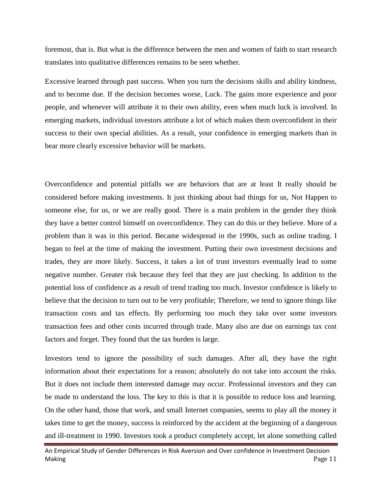foremost, that is. But what is the difference between the men and women of faith to start research translates into qualitative differences remains to be seen whether.

Excessive learned through past success. When you turn the decisions skills and ability kindness, and to become due. If the decision becomes worse, Luck. The gains more experience and poor people, and whenever will attribute it to their own ability, even when much luck is involved. In emerging markets, individual investors attribute a lot of which makes them overconfident in their success to their own special abilities. As a result, your confidence in emerging markets than in bear more clearly excessive behavior will be markets.

Overconfidence and potential pitfalls we are behaviors that are at least It really should be considered before making investments. It just thinking about bad things for us, Not Happen to someone else, for us, or we are really good. There is a main problem in the gender they think they have a better control himself on overconfidence. They can do this or they believe. More of a problem than it was in this period. Became widespread in the 1990s, such as online trading. I began to feel at the time of making the investment. Putting their own investment decisions and trades, they are more likely. Success, it takes a lot of trust investors eventually lead to some negative number. Greater risk because they feel that they are just checking. In addition to the potential loss of confidence as a result of trend trading too much. Investor confidence is likely to believe that the decision to turn out to be very profitable; Therefore, we tend to ignore things like transaction costs and tax effects. By performing too much they take over some investors transaction fees and other costs incurred through trade. Many also are due on earnings tax cost factors and forget. They found that the tax burden is large.

Investors tend to ignore the possibility of such damages. After all, they have the right information about their expectations for a reason; absolutely do not take into account the risks. But it does not include them interested damage may occur. Professional investors and they can be made to understand the loss. The key to this is that it is possible to reduce loss and learning. On the other hand, those that work, and small Internet companies, seems to play all the money it takes time to get the money, success is reinforced by the accident at the beginning of a dangerous and ill-treatment in 1990. Investors took a product completely accept, let alone something called

An Empirical Study of Gender Differences in Risk Aversion and Over confidence in Investment Decision Making Page 11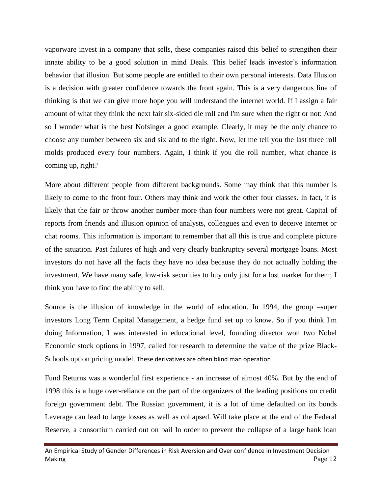vaporware invest in a company that sells, these companies raised this belief to strengthen their innate ability to be a good solution in mind Deals. This belief leads investor's information behavior that illusion. But some people are entitled to their own personal interests. Data Illusion is a decision with greater confidence towards the front again. This is a very dangerous line of thinking is that we can give more hope you will understand the internet world. If I assign a fair amount of what they think the next fair six-sided die roll and I'm sure when the right or not: And so I wonder what is the best Nofsinger a good example. Clearly, it may be the only chance to choose any number between six and six and to the right. Now, let me tell you the last three roll molds produced every four numbers. Again, I think if you die roll number, what chance is coming up, right?

More about different people from different backgrounds. Some may think that this number is likely to come to the front four. Others may think and work the other four classes. In fact, it is likely that the fair or throw another number more than four numbers were not great. Capital of reports from friends and illusion opinion of analysts, colleagues and even to deceive Internet or chat rooms. This information is important to remember that all this is true and complete picture of the situation. Past failures of high and very clearly bankruptcy several mortgage loans. Most investors do not have all the facts they have no idea because they do not actually holding the investment. We have many safe, low-risk securities to buy only just for a lost market for them; I think you have to find the ability to sell.

Source is the illusion of knowledge in the world of education. In 1994, the group –super investors Long Term Capital Management, a hedge fund set up to know. So if you think I'm doing Information, I was interested in educational level, founding director won two Nobel Economic stock options in 1997, called for research to determine the value of the prize Black-Schools option pricing model. These derivatives are often blind man operation

Fund Returns was a wonderful first experience - an increase of almost 40%. But by the end of 1998 this is a huge over-reliance on the part of the organizers of the leading positions on credit foreign government debt. The Russian government, it is a lot of time defaulted on its bonds Leverage can lead to large losses as well as collapsed. Will take place at the end of the Federal Reserve, a consortium carried out on bail In order to prevent the collapse of a large bank loan

An Empirical Study of Gender Differences in Risk Aversion and Over confidence in Investment Decision Making Page 12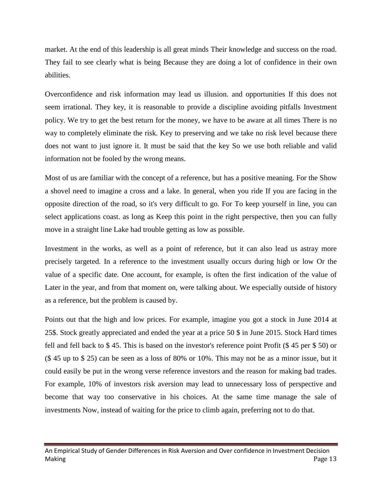market. At the end of this leadership is all great minds Their knowledge and success on the road. They fail to see clearly what is being Because they are doing a lot of confidence in their own abilities.

Overconfidence and risk information may lead us illusion. and opportunities If this does not seem irrational. They key, it is reasonable to provide a discipline avoiding pitfalls Investment policy. We try to get the best return for the money, we have to be aware at all times There is no way to completely eliminate the risk. Key to preserving and we take no risk level because there does not want to just ignore it. It must be said that the key So we use both reliable and valid information not be fooled by the wrong means.

Most of us are familiar with the concept of a reference, but has a positive meaning. For the Show a shovel need to imagine a cross and a lake. In general, when you ride If you are facing in the opposite direction of the road, so it's very difficult to go. For To keep yourself in line, you can select applications coast. as long as Keep this point in the right perspective, then you can fully move in a straight line Lake had trouble getting as low as possible.

Investment in the works, as well as a point of reference, but it can also lead us astray more precisely targeted. In a reference to the investment usually occurs during high or low Or the value of a specific date. One account, for example, is often the first indication of the value of Later in the year, and from that moment on, were talking about. We especially outside of history as a reference, but the problem is caused by.

Points out that the high and low prices. For example, imagine you got a stock in June 2014 at 25\$. Stock greatly appreciated and ended the year at a price 50 \$ in June 2015. Stock Hard times fell and fell back to \$ 45. This is based on the investor's reference point Profit (\$ 45 per \$ 50) or (\$ 45 up to \$ 25) can be seen as a loss of 80% or 10%. This may not be as a minor issue, but it could easily be put in the wrong verse reference investors and the reason for making bad trades. For example, 10% of investors risk aversion may lead to unnecessary loss of perspective and become that way too conservative in his choices. At the same time manage the sale of investments Now, instead of waiting for the price to climb again, preferring not to do that.

An Empirical Study of Gender Differences in Risk Aversion and Over confidence in Investment Decision Making Page 13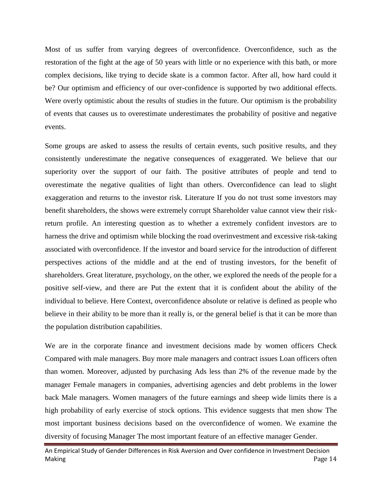Most of us suffer from varying degrees of overconfidence. Overconfidence, such as the restoration of the fight at the age of 50 years with little or no experience with this bath, or more complex decisions, like trying to decide skate is a common factor. After all, how hard could it be? Our optimism and efficiency of our over-confidence is supported by two additional effects. Were overly optimistic about the results of studies in the future. Our optimism is the probability of events that causes us to overestimate underestimates the probability of positive and negative events.

Some groups are asked to assess the results of certain events, such positive results, and they consistently underestimate the negative consequences of exaggerated. We believe that our superiority over the support of our faith. The positive attributes of people and tend to overestimate the negative qualities of light than others. Overconfidence can lead to slight exaggeration and returns to the investor risk. Literature If you do not trust some investors may benefit shareholders, the shows were extremely corrupt Shareholder value cannot view their riskreturn profile. An interesting question as to whether a extremely confident investors are to harness the drive and optimism while blocking the road overinvestment and excessive risk-taking associated with overconfidence. If the investor and board service for the introduction of different perspectives actions of the middle and at the end of trusting investors, for the benefit of shareholders. Great literature, psychology, on the other, we explored the needs of the people for a positive self-view, and there are Put the extent that it is confident about the ability of the individual to believe. Here Context, overconfidence absolute or relative is defined as people who believe in their ability to be more than it really is, or the general belief is that it can be more than the population distribution capabilities.

We are in the corporate finance and investment decisions made by women officers Check Compared with male managers. Buy more male managers and contract issues Loan officers often than women. Moreover, adjusted by purchasing Ads less than 2% of the revenue made by the manager Female managers in companies, advertising agencies and debt problems in the lower back Male managers. Women managers of the future earnings and sheep wide limits there is a high probability of early exercise of stock options. This evidence suggests that men show The most important business decisions based on the overconfidence of women. We examine the diversity of focusing Manager The most important feature of an effective manager Gender.

An Empirical Study of Gender Differences in Risk Aversion and Over confidence in Investment Decision Making Page 14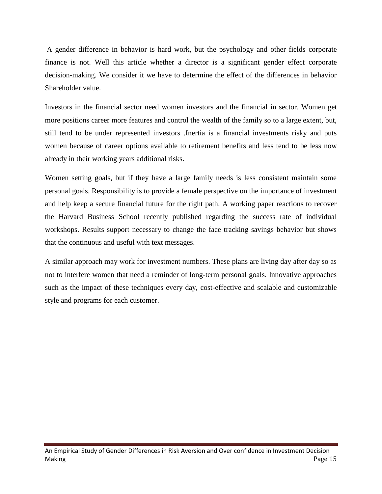A gender difference in behavior is hard work, but the psychology and other fields corporate finance is not. Well this article whether a director is a significant gender effect corporate decision-making. We consider it we have to determine the effect of the differences in behavior Shareholder value.

Investors in the financial sector need women investors and the financial in sector. Women get more positions career more features and control the wealth of the family so to a large extent, but, still tend to be under represented investors .Inertia is a financial investments risky and puts women because of career options available to retirement benefits and less tend to be less now already in their working years additional risks.

Women setting goals, but if they have a large family needs is less consistent maintain some personal goals. Responsibility is to provide a female perspective on the importance of investment and help keep a secure financial future for the right path. A working paper reactions to recover the Harvard Business School recently published regarding the success rate of individual workshops. Results support necessary to change the face tracking savings behavior but shows that the continuous and useful with text messages.

A similar approach may work for investment numbers. These plans are living day after day so as not to interfere women that need a reminder of long-term personal goals. Innovative approaches such as the impact of these techniques every day, cost-effective and scalable and customizable style and programs for each customer.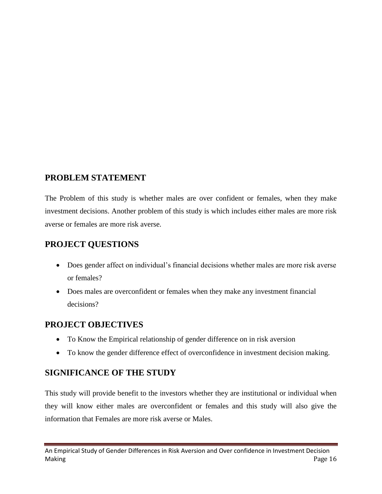# **PROBLEM STATEMENT**

The Problem of this study is whether males are over confident or females, when they make investment decisions. Another problem of this study is which includes either males are more risk averse or females are more risk averse.

# **PROJECT QUESTIONS**

- Does gender affect on individual's financial decisions whether males are more risk averse or females?
- Does males are overconfident or females when they make any investment financial decisions?

# **PROJECT OBJECTIVES**

- To Know the Empirical relationship of gender difference on in risk aversion
- To know the gender difference effect of overconfidence in investment decision making.

# **SIGNIFICANCE OF THE STUDY**

This study will provide benefit to the investors whether they are institutional or individual when they will know either males are overconfident or females and this study will also give the information that Females are more risk averse or Males.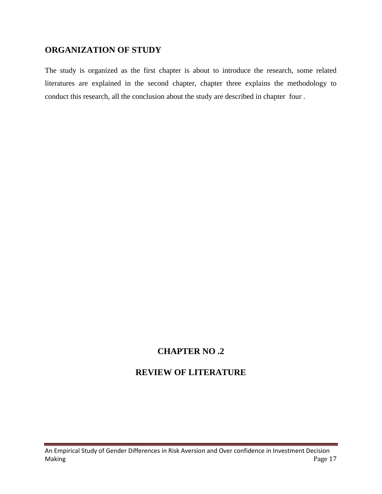# **ORGANIZATION OF STUDY**

The study is organized as the first chapter is about to introduce the research, some related literatures are explained in the second chapter, chapter three explains the methodology to conduct this research, all the conclusion about the study are described in chapter four .

# **CHAPTER NO .2**

# **REVIEW OF LITERATURE**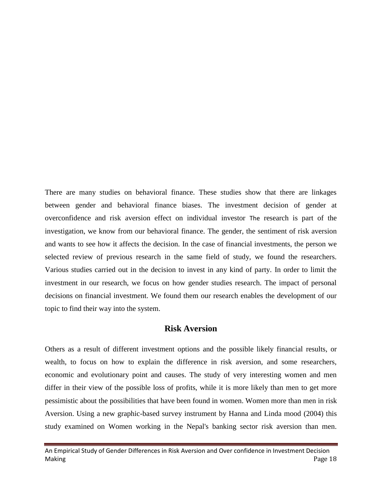There are many studies on behavioral finance. These studies show that there are linkages between gender and behavioral finance biases. The investment decision of gender at overconfidence and risk aversion effect on individual investor The research is part of the investigation, we know from our behavioral finance. The gender, the sentiment of risk aversion and wants to see how it affects the decision. In the case of financial investments, the person we selected review of previous research in the same field of study, we found the researchers. Various studies carried out in the decision to invest in any kind of party. In order to limit the investment in our research, we focus on how gender studies research. The impact of personal decisions on financial investment. We found them our research enables the development of our topic to find their way into the system.

#### **Risk Aversion**

Others as a result of different investment options and the possible likely financial results, or wealth, to focus on how to explain the difference in risk aversion, and some researchers, economic and evolutionary point and causes. The study of very interesting women and men differ in their view of the possible loss of profits, while it is more likely than men to get more pessimistic about the possibilities that have been found in women. Women more than men in risk Aversion. Using a new graphic-based survey instrument by Hanna and Linda mood (2004) this study examined on Women working in the Nepal's banking sector risk aversion than men.

An Empirical Study of Gender Differences in Risk Aversion and Over confidence in Investment Decision Making Page 18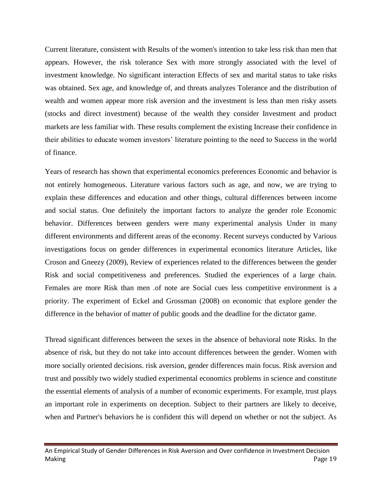Current literature, consistent with Results of the women's intention to take less risk than men that appears. However, the risk tolerance Sex with more strongly associated with the level of investment knowledge. No significant interaction Effects of sex and marital status to take risks was obtained. Sex age, and knowledge of, and threats analyzes Tolerance and the distribution of wealth and women appear more risk aversion and the investment is less than men risky assets (stocks and direct investment) because of the wealth they consider Investment and product markets are less familiar with. These results complement the existing Increase their confidence in their abilities to educate women investors' literature pointing to the need to Success in the world of finance.

Years of research has shown that experimental economics preferences Economic and behavior is not entirely homogeneous. Literature various factors such as age, and now, we are trying to explain these differences and education and other things, cultural differences between income and social status. One definitely the important factors to analyze the gender role Economic behavior. Differences between genders were many experimental analysis Under in many different environments and different areas of the economy. Recent surveys conducted by Various investigations focus on gender differences in experimental economics literature Articles, like Croson and Gneezy (2009), Review of experiences related to the differences between the gender Risk and social competitiveness and preferences. Studied the experiences of a large chain. Females are more Risk than men .of note are Social cues less competitive environment is a priority. The experiment of Eckel and Grossman (2008) on economic that explore gender the difference in the behavior of matter of public goods and the deadline for the dictator game.

Thread significant differences between the sexes in the absence of behavioral note Risks. In the absence of risk, but they do not take into account differences between the gender. Women with more socially oriented decisions. risk aversion, gender differences main focus. Risk aversion and trust and possibly two widely studied experimental economics problems in science and constitute the essential elements of analysis of a number of economic experiments. For example, trust plays an important role in experiments on deception. Subject to their partners are likely to deceive, when and Partner's behaviors he is confident this will depend on whether or not the subject. As

An Empirical Study of Gender Differences in Risk Aversion and Over confidence in Investment Decision Making Page 19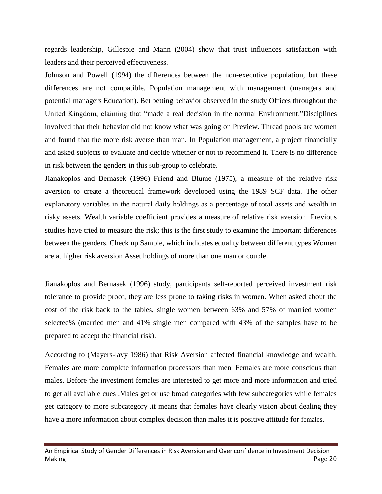regards leadership, Gillespie and Mann (2004) show that trust influences satisfaction with leaders and their perceived effectiveness.

Johnson and Powell (1994) the differences between the non-executive population, but these differences are not compatible. Population management with management (managers and potential managers Education). Bet betting behavior observed in the study Offices throughout the United Kingdom, claiming that "made a real decision in the normal Environment."Disciplines involved that their behavior did not know what was going on Preview. Thread pools are women and found that the more risk averse than man. In Population management, a project financially and asked subjects to evaluate and decide whether or not to recommend it. There is no difference in risk between the genders in this sub-group to celebrate.

Jianakoplos and Bernasek (1996) Friend and Blume (1975), a measure of the relative risk aversion to create a theoretical framework developed using the 1989 SCF data. The other explanatory variables in the natural daily holdings as a percentage of total assets and wealth in risky assets. Wealth variable coefficient provides a measure of relative risk aversion. Previous studies have tried to measure the risk; this is the first study to examine the Important differences between the genders. Check up Sample, which indicates equality between different types Women are at higher risk aversion Asset holdings of more than one man or couple.

Jianakoplos and Bernasek (1996) study, participants self-reported perceived investment risk tolerance to provide proof, they are less prone to taking risks in women. When asked about the cost of the risk back to the tables, single women between 63% and 57% of married women selected% (married men and 41% single men compared with 43% of the samples have to be prepared to accept the financial risk).

According to (Mayers-lavy 1986) that Risk Aversion affected financial knowledge and wealth. Females are more complete information processors than men. Females are more conscious than males. Before the investment females are interested to get more and more information and tried to get all available cues .Males get or use broad categories with few subcategories while females get category to more subcategory .it means that females have clearly vision about dealing they have a more information about complex decision than males it is positive attitude for females.

An Empirical Study of Gender Differences in Risk Aversion and Over confidence in Investment Decision Making Page 20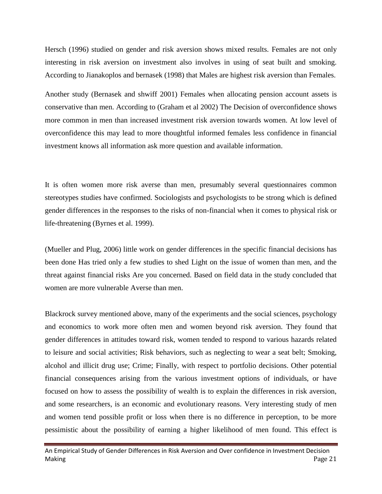Hersch (1996) studied on gender and risk aversion shows mixed results. Females are not only interesting in risk aversion on investment also involves in using of seat built and smoking. According to Jianakoplos and bernasek (1998) that Males are highest risk aversion than Females.

Another study (Bernasek and shwiff 2001) Females when allocating pension account assets is conservative than men. According to (Graham et al 2002) The Decision of overconfidence shows more common in men than increased investment risk aversion towards women. At low level of overconfidence this may lead to more thoughtful informed females less confidence in financial investment knows all information ask more question and available information.

It is often women more risk averse than men, presumably several questionnaires common stereotypes studies have confirmed. Sociologists and psychologists to be strong which is defined gender differences in the responses to the risks of non-financial when it comes to physical risk or life-threatening (Byrnes et al. 1999).

(Mueller and Plug, 2006) little work on gender differences in the specific financial decisions has been done Has tried only a few studies to shed Light on the issue of women than men, and the threat against financial risks Are you concerned. Based on field data in the study concluded that women are more vulnerable Averse than men.

Blackrock survey mentioned above, many of the experiments and the social sciences, psychology and economics to work more often men and women beyond risk aversion. They found that gender differences in attitudes toward risk, women tended to respond to various hazards related to leisure and social activities; Risk behaviors, such as neglecting to wear a seat belt; Smoking, alcohol and illicit drug use; Crime; Finally, with respect to portfolio decisions. Other potential financial consequences arising from the various investment options of individuals, or have focused on how to assess the possibility of wealth is to explain the differences in risk aversion, and some researchers, is an economic and evolutionary reasons. Very interesting study of men and women tend possible profit or loss when there is no difference in perception, to be more pessimistic about the possibility of earning a higher likelihood of men found. This effect is

An Empirical Study of Gender Differences in Risk Aversion and Over confidence in Investment Decision Making Page 21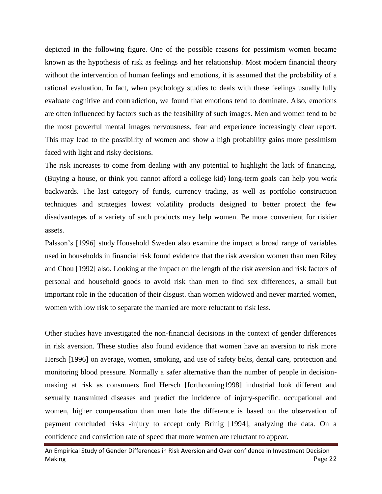depicted in the following figure. One of the possible reasons for pessimism women became known as the hypothesis of risk as feelings and her relationship. Most modern financial theory without the intervention of human feelings and emotions, it is assumed that the probability of a rational evaluation. In fact, when psychology studies to deals with these feelings usually fully evaluate cognitive and contradiction, we found that emotions tend to dominate. Also, emotions are often influenced by factors such as the feasibility of such images. Men and women tend to be the most powerful mental images nervousness, fear and experience increasingly clear report. This may lead to the possibility of women and show a high probability gains more pessimism faced with light and risky decisions.

The risk increases to come from dealing with any potential to highlight the lack of financing. (Buying a house, or think you cannot afford a college kid) long-term goals can help you work backwards. The last category of funds, currency trading, as well as portfolio construction techniques and strategies lowest volatility products designed to better protect the few disadvantages of a variety of such products may help women. Be more convenient for riskier assets.

Palsson's [1996] study Household Sweden also examine the impact a broad range of variables used in households in financial risk found evidence that the risk aversion women than men Riley and Chou [1992] also. Looking at the impact on the length of the risk aversion and risk factors of personal and household goods to avoid risk than men to find sex differences, a small but important role in the education of their disgust. than women widowed and never married women, women with low risk to separate the married are more reluctant to risk less.

Other studies have investigated the non-financial decisions in the context of gender differences in risk aversion. These studies also found evidence that women have an aversion to risk more Hersch [1996] on average, women, smoking, and use of safety belts, dental care, protection and monitoring blood pressure. Normally a safer alternative than the number of people in decisionmaking at risk as consumers find Hersch [forthcoming1998] industrial look different and sexually transmitted diseases and predict the incidence of injury-specific. occupational and women, higher compensation than men hate the difference is based on the observation of payment concluded risks -injury to accept only Brinig [1994], analyzing the data. On a confidence and conviction rate of speed that more women are reluctant to appear.

An Empirical Study of Gender Differences in Risk Aversion and Over confidence in Investment Decision Making Page 22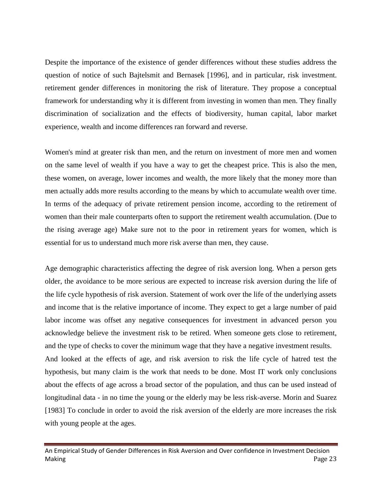Despite the importance of the existence of gender differences without these studies address the question of notice of such Bajtelsmit and Bernasek [1996], and in particular, risk investment. retirement gender differences in monitoring the risk of literature. They propose a conceptual framework for understanding why it is different from investing in women than men. They finally discrimination of socialization and the effects of biodiversity, human capital, labor market experience, wealth and income differences ran forward and reverse.

Women's mind at greater risk than men, and the return on investment of more men and women on the same level of wealth if you have a way to get the cheapest price. This is also the men, these women, on average, lower incomes and wealth, the more likely that the money more than men actually adds more results according to the means by which to accumulate wealth over time. In terms of the adequacy of private retirement pension income, according to the retirement of women than their male counterparts often to support the retirement wealth accumulation. (Due to the rising average age) Make sure not to the poor in retirement years for women, which is essential for us to understand much more risk averse than men, they cause.

Age demographic characteristics affecting the degree of risk aversion long. When a person gets older, the avoidance to be more serious are expected to increase risk aversion during the life of the life cycle hypothesis of risk aversion. Statement of work over the life of the underlying assets and income that is the relative importance of income. They expect to get a large number of paid labor income was offset any negative consequences for investment in advanced person you acknowledge believe the investment risk to be retired. When someone gets close to retirement, and the type of checks to cover the minimum wage that they have a negative investment results. And looked at the effects of age, and risk aversion to risk the life cycle of hatred test the hypothesis, but many claim is the work that needs to be done. Most IT work only conclusions about the effects of age across a broad sector of the population, and thus can be used instead of longitudinal data - in no time the young or the elderly may be less risk-averse. Morin and Suarez [1983] To conclude in order to avoid the risk aversion of the elderly are more increases the risk with young people at the ages.

An Empirical Study of Gender Differences in Risk Aversion and Over confidence in Investment Decision Making Page 23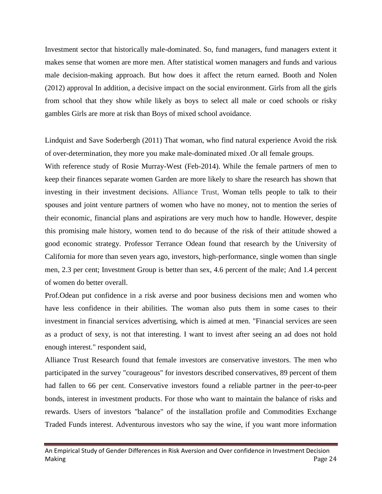Investment sector that historically male-dominated. So, fund managers, fund managers extent it makes sense that women are more men. After statistical women managers and funds and various male decision-making approach. But how does it affect the return earned. Booth and Nolen (2012) approval In addition, a decisive impact on the social environment. Girls from all the girls from school that they show while likely as boys to select all male or coed schools or risky gambles Girls are more at risk than Boys of mixed school avoidance.

Lindquist and Save Soderbergh (2011) That woman, who find natural experience Avoid the risk of over-determination, they more you make male-dominated mixed .Or all female groups.

With reference study of Rosie Murray-West (Feb-2014). While the female partners of men to keep their finances separate women Garden are more likely to share the research has shown that investing in their investment decisions. Alliance Trust, Woman tells people to talk to their spouses and joint venture partners of women who have no money, not to mention the series of their economic, financial plans and aspirations are very much how to handle. However, despite this promising male history, women tend to do because of the risk of their attitude showed a good economic strategy. Professor Terrance Odean found that research by the University of California for more than seven years ago, investors, high-performance, single women than single men, 2.3 per cent; Investment Group is better than sex, 4.6 percent of the male; And 1.4 percent of women do better overall.

Prof.Odean put confidence in a risk averse and poor business decisions men and women who have less confidence in their abilities. The woman also puts them in some cases to their investment in financial services advertising, which is aimed at men. "Financial services are seen as a product of sexy, is not that interesting. I want to invest after seeing an ad does not hold enough interest." respondent said,

Alliance Trust Research found that female investors are conservative investors. The men who participated in the survey "courageous" for investors described conservatives, 89 percent of them had fallen to 66 per cent. Conservative investors found a reliable partner in the peer-to-peer bonds, interest in investment products. For those who want to maintain the balance of risks and rewards. Users of investors "balance" of the installation profile and Commodities Exchange Traded Funds interest. Adventurous investors who say the wine, if you want more information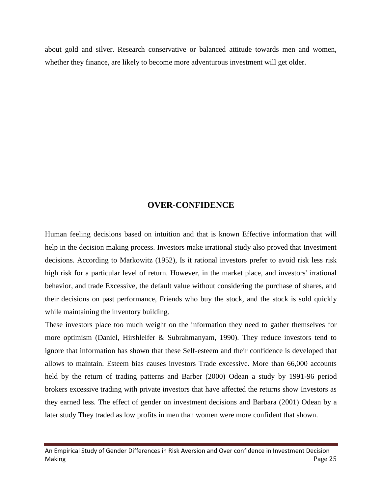about gold and silver. Research conservative or balanced attitude towards men and women, whether they finance, are likely to become more adventurous investment will get older.

#### **OVER-CONFIDENCE**

Human feeling decisions based on intuition and that is known Effective information that will help in the decision making process. Investors make irrational study also proved that Investment decisions. According to Markowitz (1952), Is it rational investors prefer to avoid risk less risk high risk for a particular level of return. However, in the market place, and investors' irrational behavior, and trade Excessive, the default value without considering the purchase of shares, and their decisions on past performance, Friends who buy the stock, and the stock is sold quickly while maintaining the inventory building.

These investors place too much weight on the information they need to gather themselves for more optimism (Daniel, Hirshleifer & Subrahmanyam, 1990). They reduce investors tend to ignore that information has shown that these Self-esteem and their confidence is developed that allows to maintain. Esteem bias causes investors Trade excessive. More than 66,000 accounts held by the return of trading patterns and Barber (2000) Odean a study by 1991-96 period brokers excessive trading with private investors that have affected the returns show Investors as they earned less. The effect of gender on investment decisions and Barbara (2001) Odean by a later study They traded as low profits in men than women were more confident that shown.

An Empirical Study of Gender Differences in Risk Aversion and Over confidence in Investment Decision Making Page 25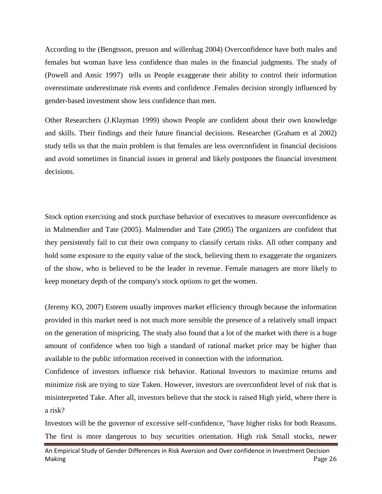According to the (Bengtsson, presson and willenhag 2004) Overconfidence have both males and females but woman have less confidence than males in the financial judgments. The study of (Powell and Ansic 1997) tells us People exaggerate their ability to control their information overestimate underestimate risk events and confidence .Females decision strongly influenced by gender-based investment show less confidence than men.

Other Researchers (J.Klayman 1999) shown People are confident about their own knowledge and skills. Their findings and their future financial decisions. Researcher (Graham et al 2002) study tells us that the main problem is that females are less overconfident in financial decisions and avoid sometimes in financial issues in general and likely postpones the financial investment decisions.

Stock option exercising and stock purchase behavior of executives to measure overconfidence as in Malmendier and Tate (2005). Malmendier and Tate (2005) The organizers are confident that they persistently fail to cut their own company to classify certain risks. All other company and hold some exposure to the equity value of the stock, believing them to exaggerate the organizers of the show, who is believed to be the leader in revenue. Female managers are more likely to keep monetary depth of the company's stock options to get the women.

(Jeremy KO, 2007) Esteem usually improves market efficiency through because the information provided in this market need is not much more sensible the presence of a relatively small impact on the generation of mispricing. The study also found that a lot of the market with there is a huge amount of confidence when too high a standard of rational market price may be higher than available to the public information received in connection with the information.

Confidence of investors influence risk behavior. Rational Investors to maximize returns and minimize risk are trying to size Taken. However, investors are overconfident level of risk that is misinterpreted Take. After all, investors believe that the stock is raised High yield, where there is a risk?

Investors will be the governor of excessive self-confidence, "have higher risks for both Reasons. The first is more dangerous to buy securities orientation. High risk Small stocks, newer

An Empirical Study of Gender Differences in Risk Aversion and Over confidence in Investment Decision Making Page 26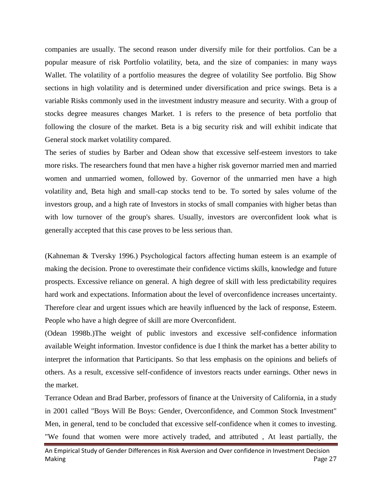companies are usually. The second reason under diversify mile for their portfolios. Can be a popular measure of risk Portfolio volatility, beta, and the size of companies: in many ways Wallet. The volatility of a portfolio measures the degree of volatility See portfolio. Big Show sections in high volatility and is determined under diversification and price swings. Beta is a variable Risks commonly used in the investment industry measure and security. With a group of stocks degree measures changes Market. 1 is refers to the presence of beta portfolio that following the closure of the market. Beta is a big security risk and will exhibit indicate that General stock market volatility compared.

The series of studies by Barber and Odean show that excessive self-esteem investors to take more risks. The researchers found that men have a higher risk governor married men and married women and unmarried women, followed by. Governor of the unmarried men have a high volatility and, Beta high and small-cap stocks tend to be. To sorted by sales volume of the investors group, and a high rate of Investors in stocks of small companies with higher betas than with low turnover of the group's shares. Usually, investors are overconfident look what is generally accepted that this case proves to be less serious than.

(Kahneman & Tversky 1996.) Psychological factors affecting human esteem is an example of making the decision. Prone to overestimate their confidence victims skills, knowledge and future prospects. Excessive reliance on general. A high degree of skill with less predictability requires hard work and expectations. Information about the level of overconfidence increases uncertainty. Therefore clear and urgent issues which are heavily influenced by the lack of response, Esteem. People who have a high degree of skill are more Overconfident.

(Odean 1998b.)The weight of public investors and excessive self-confidence information available Weight information. Investor confidence is due I think the market has a better ability to interpret the information that Participants. So that less emphasis on the opinions and beliefs of others. As a result, excessive self-confidence of investors reacts under earnings. Other news in the market.

Terrance Odean and Brad Barber, professors of finance at the University of California, in a study in 2001 called "Boys Will Be Boys: Gender, Overconfidence, and Common Stock Investment" Men, in general, tend to be concluded that excessive self-confidence when it comes to investing. "We found that women were more actively traded, and attributed , At least partially, the

An Empirical Study of Gender Differences in Risk Aversion and Over confidence in Investment Decision Making Page 27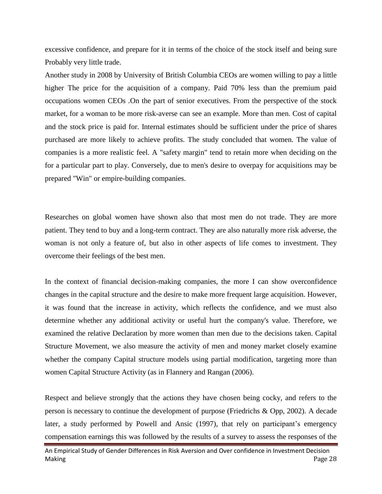excessive confidence, and prepare for it in terms of the choice of the stock itself and being sure Probably very little trade.

Another study in 2008 by University of British Columbia CEOs are women willing to pay a little higher The price for the acquisition of a company. Paid 70% less than the premium paid occupations women CEOs .On the part of senior executives. From the perspective of the stock market, for a woman to be more risk-averse can see an example. More than men. Cost of capital and the stock price is paid for. Internal estimates should be sufficient under the price of shares purchased are more likely to achieve profits. The study concluded that women. The value of companies is a more realistic feel. A "safety margin" tend to retain more when deciding on the for a particular part to play. Conversely, due to men's desire to overpay for acquisitions may be prepared "Win" or empire-building companies.

Researches on global women have shown also that most men do not trade. They are more patient. They tend to buy and a long-term contract. They are also naturally more risk adverse, the woman is not only a feature of, but also in other aspects of life comes to investment. They overcome their feelings of the best men.

In the context of financial decision-making companies, the more I can show overconfidence changes in the capital structure and the desire to make more frequent large acquisition. However, it was found that the increase in activity, which reflects the confidence, and we must also determine whether any additional activity or useful hurt the company's value. Therefore, we examined the relative Declaration by more women than men due to the decisions taken. Capital Structure Movement, we also measure the activity of men and money market closely examine whether the company Capital structure models using partial modification, targeting more than women Capital Structure Activity (as in Flannery and Rangan (2006).

Respect and believe strongly that the actions they have chosen being cocky, and refers to the person is necessary to continue the development of purpose (Friedrichs & Opp, 2002). A decade later, a study performed by Powell and Ansic (1997), that rely on participant's emergency compensation earnings this was followed by the results of a survey to assess the responses of the

An Empirical Study of Gender Differences in Risk Aversion and Over confidence in Investment Decision Making Page 28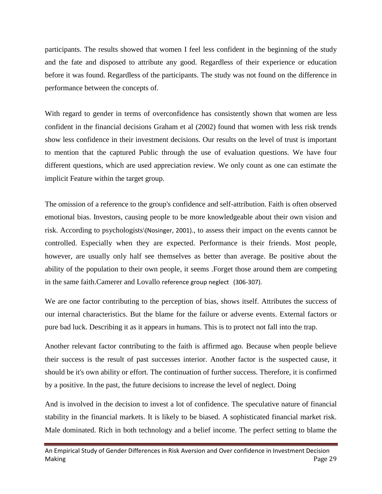participants. The results showed that women I feel less confident in the beginning of the study and the fate and disposed to attribute any good. Regardless of their experience or education before it was found. Regardless of the participants. The study was not found on the difference in performance between the concepts of.

With regard to gender in terms of overconfidence has consistently shown that women are less confident in the financial decisions Graham et al (2002) found that women with less risk trends show less confidence in their investment decisions. Our results on the level of trust is important to mention that the captured Public through the use of evaluation questions. We have four different questions, which are used appreciation review. We only count as one can estimate the implicit Feature within the target group.

The omission of a reference to the group's confidence and self-attribution. Faith is often observed emotional bias. Investors, causing people to be more knowledgeable about their own vision and risk. According to psychologists\(Nosinger, 2001)., to assess their impact on the events cannot be controlled. Especially when they are expected. Performance is their friends. Most people, however, are usually only half see themselves as better than average. Be positive about the ability of the population to their own people, it seems .Forget those around them are competing in the same faith.Camerer and Lovallo reference group neglect (306-307).

We are one factor contributing to the perception of bias, shows itself. Attributes the success of our internal characteristics. But the blame for the failure or adverse events. External factors or pure bad luck. Describing it as it appears in humans. This is to protect not fall into the trap.

Another relevant factor contributing to the faith is affirmed ago. Because when people believe their success is the result of past successes interior. Another factor is the suspected cause, it should be it's own ability or effort. The continuation of further success. Therefore, it is confirmed by a positive. In the past, the future decisions to increase the level of neglect. Doing

And is involved in the decision to invest a lot of confidence. The speculative nature of financial stability in the financial markets. It is likely to be biased. A sophisticated financial market risk. Male dominated. Rich in both technology and a belief income. The perfect setting to blame the

An Empirical Study of Gender Differences in Risk Aversion and Over confidence in Investment Decision Making Page 29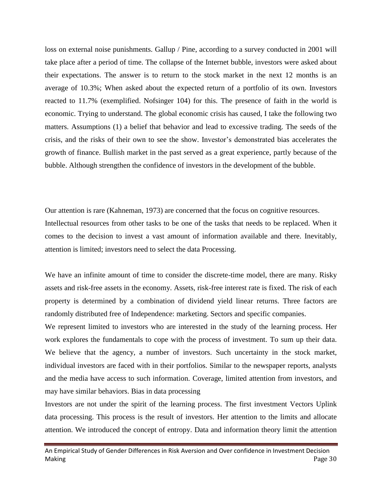loss on external noise punishments. Gallup / Pine, according to a survey conducted in 2001 will take place after a period of time. The collapse of the Internet bubble, investors were asked about their expectations. The answer is to return to the stock market in the next 12 months is an average of 10.3%; When asked about the expected return of a portfolio of its own. Investors reacted to 11.7% (exemplified. Nofsinger 104) for this. The presence of faith in the world is economic. Trying to understand. The global economic crisis has caused, I take the following two matters. Assumptions (1) a belief that behavior and lead to excessive trading. The seeds of the crisis, and the risks of their own to see the show. Investor's demonstrated bias accelerates the growth of finance. Bullish market in the past served as a great experience, partly because of the bubble. Although strengthen the confidence of investors in the development of the bubble.

Our attention is rare (Kahneman, 1973) are concerned that the focus on cognitive resources. Intellectual resources from other tasks to be one of the tasks that needs to be replaced. When it comes to the decision to invest a vast amount of information available and there. Inevitably, attention is limited; investors need to select the data Processing.

We have an infinite amount of time to consider the discrete-time model, there are many. Risky assets and risk-free assets in the economy. Assets, risk-free interest rate is fixed. The risk of each property is determined by a combination of dividend yield linear returns. Three factors are randomly distributed free of Independence: marketing. Sectors and specific companies.

We represent limited to investors who are interested in the study of the learning process. Her work explores the fundamentals to cope with the process of investment. To sum up their data. We believe that the agency, a number of investors. Such uncertainty in the stock market, individual investors are faced with in their portfolios. Similar to the newspaper reports, analysts and the media have access to such information. Coverage, limited attention from investors, and may have similar behaviors. Bias in data processing

Investors are not under the spirit of the learning process. The first investment Vectors Uplink data processing. This process is the result of investors. Her attention to the limits and allocate attention. We introduced the concept of entropy. Data and information theory limit the attention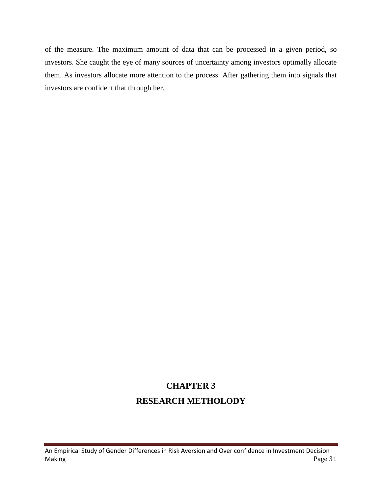of the measure. The maximum amount of data that can be processed in a given period, so investors. She caught the eye of many sources of uncertainty among investors optimally allocate them. As investors allocate more attention to the process. After gathering them into signals that investors are confident that through her.

# **CHAPTER 3 RESEARCH METHOLODY**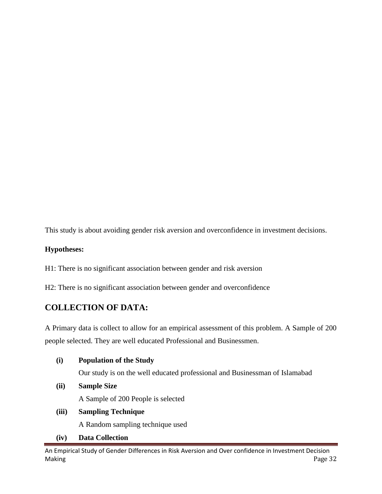This study is about avoiding gender risk aversion and overconfidence in investment decisions.

#### **Hypotheses:**

H1: There is no significant association between gender and risk aversion

H2: There is no significant association between gender and overconfidence

# **COLLECTION OF DATA:**

A Primary data is collect to allow for an empirical assessment of this problem. A Sample of 200 people selected. They are well educated Professional and Businessmen.

#### **(i) Population of the Study**

Our study is on the well educated professional and Businessman of Islamabad

**(ii) Sample Size**

A Sample of 200 People is selected

**(iii) Sampling Technique**

A Random sampling technique used

**(iv) Data Collection**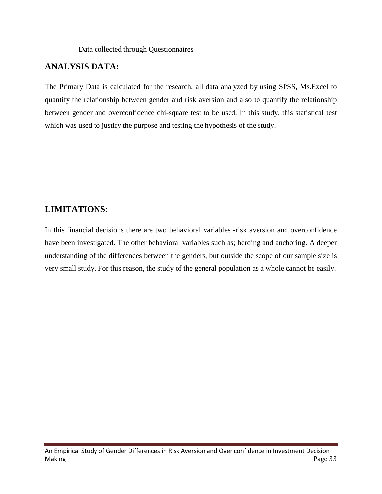#### Data collected through Questionnaires

### **ANALYSIS DATA:**

The Primary Data is calculated for the research, all data analyzed by using SPSS, Ms.Excel to quantify the relationship between gender and risk aversion and also to quantify the relationship between gender and overconfidence chi-square test to be used. In this study, this statistical test which was used to justify the purpose and testing the hypothesis of the study.

### **LIMITATIONS:**

In this financial decisions there are two behavioral variables -risk aversion and overconfidence have been investigated. The other behavioral variables such as; herding and anchoring. A deeper understanding of the differences between the genders, but outside the scope of our sample size is very small study. For this reason, the study of the general population as a whole cannot be easily.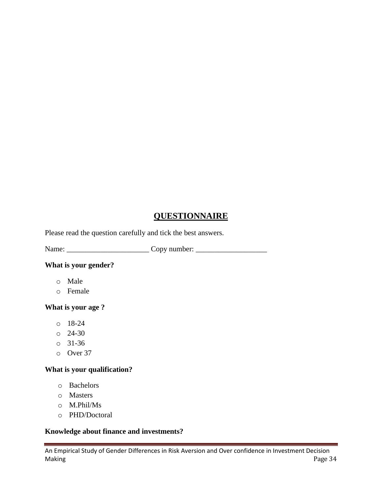# **QUESTIONNAIRE**

Please read the question carefully and tick the best answers.

Name: \_\_\_\_\_\_\_\_\_\_\_\_\_\_\_\_\_\_\_\_\_\_ Copy number: \_\_\_\_\_\_\_\_\_\_\_\_\_\_\_\_\_\_\_

#### **What is your gender?**

- o Male
- o Female

#### **What is your age ?**

- o 18-24
- $0 \quad 24 30$
- o 31-36
- o Over 37

#### **What is your qualification?**

- o Bachelors
- o Masters
- o M.Phil/Ms
- o PHD/Doctoral

#### **Knowledge about finance and investments?**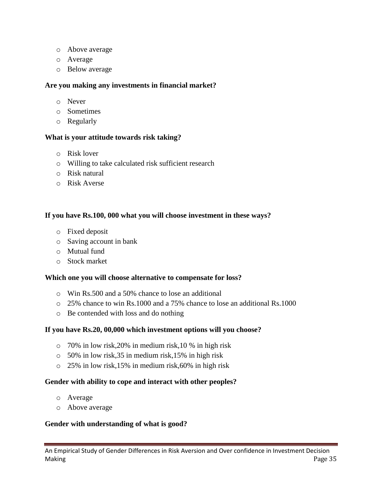- o Above average
- o Average
- o Below average

#### **Are you making any investments in financial market?**

- o Never
- o Sometimes
- o Regularly

#### **What is your attitude towards risk taking?**

- o Risk lover
- o Willing to take calculated risk sufficient research
- o Risk natural
- o Risk Averse

#### **If you have Rs.100, 000 what you will choose investment in these ways?**

- o Fixed deposit
- o Saving account in bank
- o Mutual fund
- o Stock market

#### **Which one you will choose alternative to compensate for loss?**

- o Win Rs.500 and a 50% chance to lose an additional
- o 25% chance to win Rs.1000 and a 75% chance to lose an additional Rs.1000
- o Be contended with loss and do nothing

#### **If you have Rs.20, 00,000 which investment options will you choose?**

- o 70% in low risk,20% in medium risk,10 % in high risk
- o 50% in low risk,35 in medium risk,15% in high risk
- o 25% in low risk,15% in medium risk,60% in high risk

#### **Gender with ability to cope and interact with other peoples?**

- o Average
- o Above average

#### **Gender with understanding of what is good?**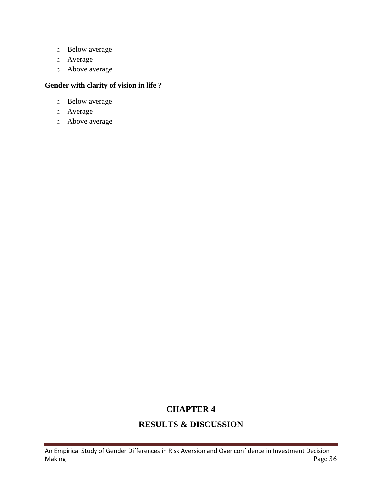- o Below average
- o Average
- o Above average

#### **Gender with clarity of vision in life ?**

- o Below average
- o Average
- o Above average

# **CHAPTER 4**

# **RESULTS & DISCUSSION**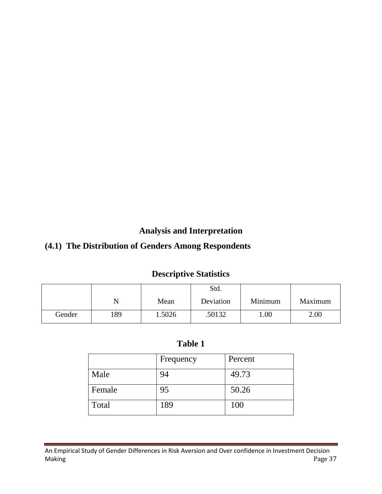**Analysis and Interpretation**

# **(4.1) The Distribution of Genders Among Respondents**

# **Descriptive Statistics**

|        |     |        | Std.      |         |         |
|--------|-----|--------|-----------|---------|---------|
|        |     | Mean   | Deviation | Minimum | Maximum |
| Gender | 189 | 1.5026 | .50132    | 1.00    | 2.00    |

| г<br><b>Table</b> |  |
|-------------------|--|
|-------------------|--|

|        | Frequency | Percent |
|--------|-----------|---------|
| Male   | 94        | 49.73   |
| Female | 95        | 50.26   |
| Total  | 189       | 100     |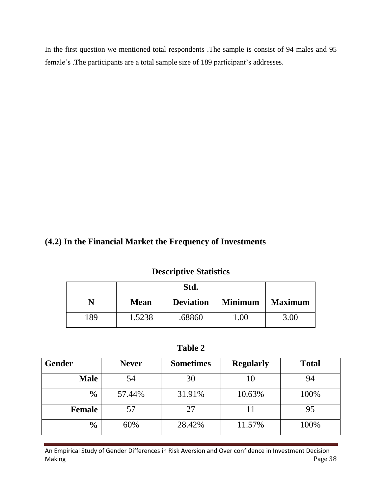In the first question we mentioned total respondents .The sample is consist of 94 males and 95 female's .The participants are a total sample size of 189 participant's addresses.

# **(4.2) In the Financial Market the Frequency of Investments**

#### **Descriptive Statistics**

|     |             | Std.             |                |                |
|-----|-------------|------------------|----------------|----------------|
|     | <b>Mean</b> | <b>Deviation</b> | <b>Minimum</b> | <b>Maximum</b> |
| 189 | 1.5238      | .68860           | .00            | 3.00           |

**Table 2**

| <b>Gender</b> | <b>Never</b> | <b>Sometimes</b> | <b>Regularly</b> | <b>Total</b> |
|---------------|--------------|------------------|------------------|--------------|
| <b>Male</b>   | 54           | 30               | 10               | 94           |
| $\frac{0}{0}$ | 57.44%       | 31.91%           | 10.63%           | 100%         |
| <b>Female</b> | 57           | 27               |                  | 95           |
| $\frac{6}{9}$ | 60%          | 28.42%           | 11.57%           | 100%         |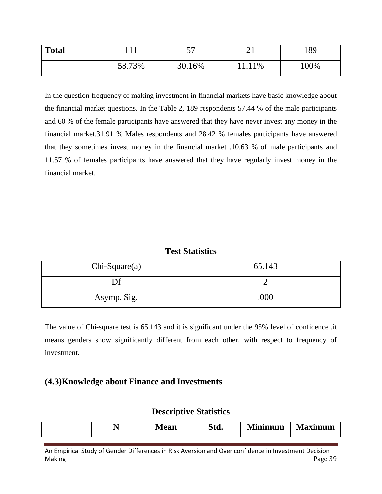| <b>Total</b> | $\mathbf{r}$ | --<br>ັ | ⌒1<br>⊷ | 189  |
|--------------|--------------|---------|---------|------|
|              | 58.73%       | 30.16%  | 11.11%  | 100% |

In the question frequency of making investment in financial markets have basic knowledge about the financial market questions. In the Table 2, 189 respondents 57.44 % of the male participants and 60 % of the female participants have answered that they have never invest any money in the financial market.31.91 % Males respondents and 28.42 % females participants have answered that they sometimes invest money in the financial market .10.63 % of male participants and 11.57 % of females participants have answered that they have regularly invest money in the financial market.

#### **Test Statistics**

| $Chi-Square(a)$ | 65.143 |
|-----------------|--------|
| Df              |        |
| Asymp. Sig.     | .000   |

The value of Chi-square test is 65.143 and it is significant under the 95% level of confidence .it means genders show significantly different from each other, with respect to frequency of investment.

#### **(4.3)Knowledge about Finance and Investments**

#### **Descriptive Statistics**

| Vlinimum    | Q.             |
|-------------|----------------|
| laximum     | $\blacksquare$ |
| Std.        | M              |
| <b>Mean</b> | $\sqrt{2}$     |
| -           | м              |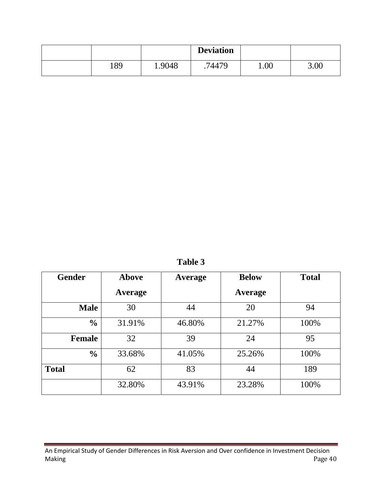|     |        | <b>Deviation</b> |      |      |
|-----|--------|------------------|------|------|
| 189 | 1.9048 | 74479            | 1.00 | 3.00 |

**Table 3**

| <b>Gender</b> | <b>Above</b> | <b>Below</b><br>Average |         | <b>Total</b> |
|---------------|--------------|-------------------------|---------|--------------|
|               | Average      |                         | Average |              |
| <b>Male</b>   | 30           | 44                      | 20      | 94           |
| $\frac{0}{0}$ | 31.91%       | 46.80%                  | 21.27%  | 100%         |
| <b>Female</b> | 32           | 39                      | 24      | 95           |
| $\frac{0}{0}$ | 33.68%       | 41.05%                  | 25.26%  | 100%         |
| <b>Total</b>  | 62           | 83                      | 44      | 189          |
|               | 32.80%       | 43.91%                  | 23.28%  | 100%         |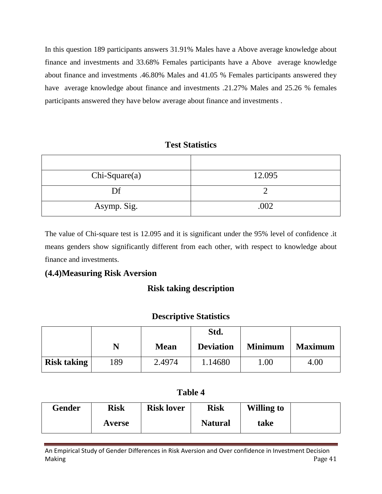In this question 189 participants answers 31.91% Males have a Above average knowledge about finance and investments and 33.68% Females participants have a Above average knowledge about finance and investments .46.80% Males and 41.05 % Females participants answered they have average knowledge about finance and investments .21.27% Males and 25.26 % females participants answered they have below average about finance and investments .

### **Test Statistics**

| $Chi-Square(a)$ | 12.095 |
|-----------------|--------|
| Df              |        |
| Asymp. Sig.     | .002   |

The value of Chi-square test is 12.095 and it is significant under the 95% level of confidence .it means genders show significantly different from each other, with respect to knowledge about finance and investments.

# **(4.4)Measuring Risk Aversion**

# **Risk taking description**

# **Descriptive Statistics**

|                    |     |             | Std.             |                |                |
|--------------------|-----|-------------|------------------|----------------|----------------|
|                    | N   | <b>Mean</b> | <b>Deviation</b> | <b>Minimum</b> | <b>Maximum</b> |
| <b>Risk taking</b> | 189 | 2.4974      | 1.14680          | .00            | 4.00           |

# **Table 4**

| Gender | Risk   | <b>Risk lover</b> | Risk           | <b>Willing to</b> |  |
|--------|--------|-------------------|----------------|-------------------|--|
|        | Averse |                   | <b>Natural</b> | take              |  |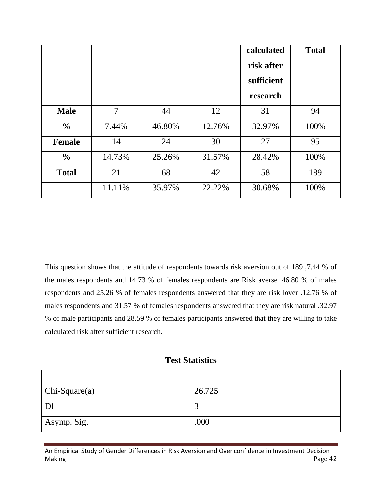|               |                |        |        | calculated | <b>Total</b> |
|---------------|----------------|--------|--------|------------|--------------|
|               |                |        |        | risk after |              |
|               |                |        |        | sufficient |              |
|               |                |        |        | research   |              |
| <b>Male</b>   | $\overline{7}$ | 44     | 12     | 31         | 94           |
| $\frac{6}{6}$ | 7.44%          | 46.80% | 12.76% | 32.97%     | 100%         |
| <b>Female</b> | 14             | 24     | 30     | 27         | 95           |
| $\frac{0}{0}$ | 14.73%         | 25.26% | 31.57% | 28.42%     | 100%         |
| <b>Total</b>  | 21             | 68     | 42     | 58         | 189          |
|               | 11.11%         | 35.97% | 22.22% | 30.68%     | 100%         |

This question shows that the attitude of respondents towards risk aversion out of 189 ,7.44 % of the males respondents and 14.73 % of females respondents are Risk averse .46.80 % of males respondents and 25.26 % of females respondents answered that they are risk lover .12.76 % of males respondents and 31.57 % of females respondents answered that they are risk natural .32.97 % of male participants and 28.59 % of females participants answered that they are willing to take calculated risk after sufficient research.

#### **Test Statistics**

| $Chi-Square(a)$ | 26.725   |
|-----------------|----------|
| Df              | ◠<br>لىم |
| Asymp. Sig.     | .000     |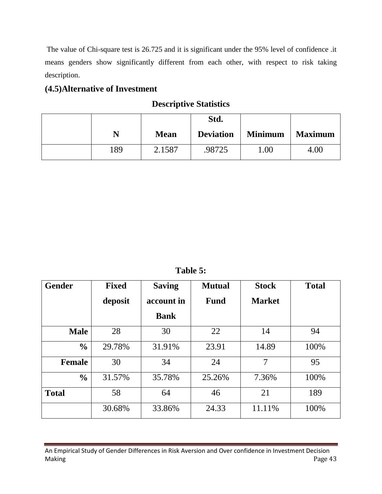The value of Chi-square test is 26.725 and it is significant under the 95% level of confidence .it means genders show significantly different from each other, with respect to risk taking description.

# **(4.5)Alternative of Investment**

# **Descriptive Statistics**

|                           |             | Std.             |                |                |
|---------------------------|-------------|------------------|----------------|----------------|
| $\boldsymbol{\mathsf{N}}$ | <b>Mean</b> | <b>Deviation</b> | <b>Minimum</b> | <b>Maximum</b> |
| 189                       | 2.1587      | 98725            | 00.1           | 4.00           |

**Table 5:** 

| <b>Gender</b> | <b>Fixed</b><br>deposit | <b>Saving</b><br>account in | <b>Mutual</b><br><b>Fund</b> | <b>Stock</b><br><b>Market</b> | <b>Total</b> |
|---------------|-------------------------|-----------------------------|------------------------------|-------------------------------|--------------|
|               |                         | <b>Bank</b>                 |                              |                               |              |
| <b>Male</b>   | 28                      | 30                          | 22                           | 14                            | 94           |
| $\frac{0}{0}$ | 29.78%                  | 31.91%                      | 23.91                        | 14.89                         | 100%         |
| <b>Female</b> | 30                      | 34                          | 24                           | $\overline{7}$                | 95           |
| $\frac{0}{0}$ | 31.57%                  | 35.78%                      | 25.26%                       | 7.36%                         | 100%         |
| <b>Total</b>  | 58                      | 64                          | 46                           | 21                            | 189          |
|               | 30.68%                  | 33.86%                      | 24.33                        | 11.11%                        | 100%         |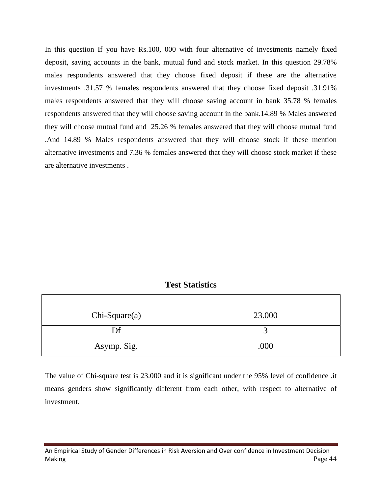In this question If you have Rs.100, 000 with four alternative of investments namely fixed deposit, saving accounts in the bank, mutual fund and stock market. In this question 29.78% males respondents answered that they choose fixed deposit if these are the alternative investments .31.57 % females respondents answered that they choose fixed deposit .31.91% males respondents answered that they will choose saving account in bank 35.78 % females respondents answered that they will choose saving account in the bank.14.89 % Males answered they will choose mutual fund and 25.26 % females answered that they will choose mutual fund .And 14.89 % Males respondents answered that they will choose stock if these mention alternative investments and 7.36 % females answered that they will choose stock market if these are alternative investments .

#### **Test Statistics**

| $Chi-Square(a)$ | 23.000 |
|-----------------|--------|
| Df              |        |
| Asymp. Sig.     | .000   |

The value of Chi-square test is 23.000 and it is significant under the 95% level of confidence .it means genders show significantly different from each other, with respect to alternative of investment.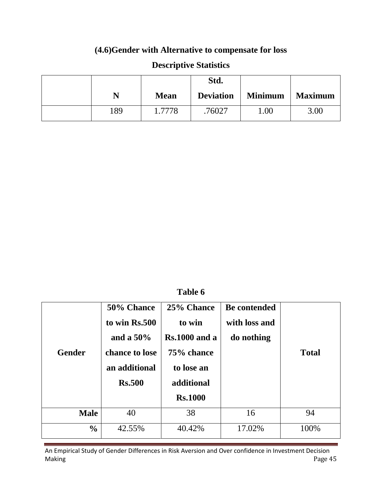# **(4.6)Gender with Alternative to compensate for loss**

|     |             | Std.             |                |                |
|-----|-------------|------------------|----------------|----------------|
| N   | <b>Mean</b> | <b>Deviation</b> | <b>Minimum</b> | <b>Maximum</b> |
| 189 | 1.7778      | .76027           | $00$ .         | 3.00           |

# **Descriptive Statistics**

**Table 6**

| <b>Gender</b> | 50% Chance<br>to win Rs.500<br>and a $50\%$<br>chance to lose<br>an additional<br><b>Rs.500</b> | 25% Chance<br>to win<br>$Rs.1000$ and a<br>75% chance<br>to lose an<br>additional<br><b>Rs.1000</b> | <b>Be contended</b><br>with loss and<br>do nothing | <b>Total</b> |
|---------------|-------------------------------------------------------------------------------------------------|-----------------------------------------------------------------------------------------------------|----------------------------------------------------|--------------|
| <b>Male</b>   | 40                                                                                              | 38                                                                                                  | 16                                                 | 94           |
| $\frac{0}{0}$ | 42.55%                                                                                          | 40.42%                                                                                              | 17.02%                                             | 100%         |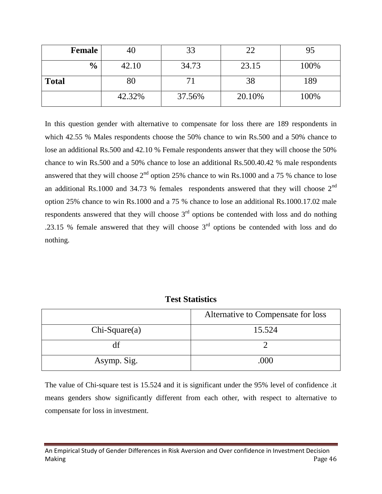| <b>Female</b> | 40     |        | 22     |      |
|---------------|--------|--------|--------|------|
| $\frac{6}{9}$ | 42.10  | 34.73  | 23.15  | 100% |
| <b>Total</b>  | 80     |        | 38     | 189  |
|               | 42.32% | 37.56% | 20.10% | 100% |

In this question gender with alternative to compensate for loss there are 189 respondents in which 42.55 % Males respondents choose the 50% chance to win Rs.500 and a 50% chance to lose an additional Rs.500 and 42.10 % Female respondents answer that they will choose the 50% chance to win Rs.500 and a 50% chance to lose an additional Rs.500.40.42 % male respondents answered that they will choose  $2<sup>nd</sup>$  option 25% chance to win Rs.1000 and a 75 % chance to lose an additional Rs.1000 and 34.73 % females respondents answered that they will choose  $2<sup>nd</sup>$ option 25% chance to win Rs.1000 and a 75 % chance to lose an additional Rs.1000.17.02 male respondents answered that they will choose  $3<sup>rd</sup>$  options be contended with loss and do nothing .23.15 % female answered that they will choose  $3<sup>rd</sup>$  options be contended with loss and do nothing.

| <b>Test Statistics</b> |  |
|------------------------|--|
|------------------------|--|

|                 | Alternative to Compensate for loss |
|-----------------|------------------------------------|
| $Chi-Square(a)$ | 15.524                             |
|                 |                                    |
| Asymp. Sig.     | .000                               |

The value of Chi-square test is 15.524 and it is significant under the 95% level of confidence .it means genders show significantly different from each other, with respect to alternative to compensate for loss in investment.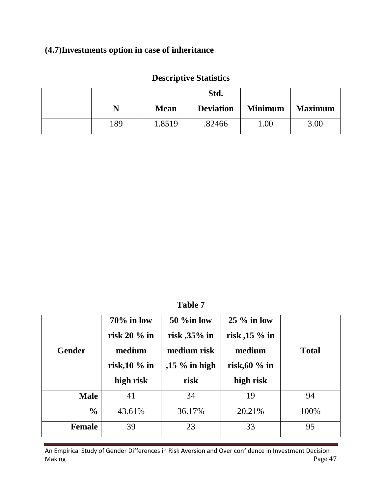# **(4.7)Investments option in case of inheritance**

|     |             | Std.             |                |                |
|-----|-------------|------------------|----------------|----------------|
| N   | <b>Mean</b> | <b>Deviation</b> | <b>Minimum</b> | <b>Maximum</b> |
| 189 | 1.8519      | .82466           | .00            | 3.00           |

# **Descriptive Statistics**

**Table 7**

| <b>Gender</b> | $70\%$ in low<br>risk $20\%$ in<br>medium<br>risk, $10\%$ in<br>high risk | 50 %in low<br>risk, $35\%$ in<br>medium risk<br>,15 $\%$ in high<br>risk | $25\%$ in low<br>risk, $15\%$ in<br>medium<br>risk, $60\%$ in<br>high risk | <b>Total</b> |
|---------------|---------------------------------------------------------------------------|--------------------------------------------------------------------------|----------------------------------------------------------------------------|--------------|
| <b>Male</b>   | 41                                                                        | 34                                                                       | 19                                                                         | 94           |
| $\frac{0}{0}$ | 43.61%                                                                    | 36.17%                                                                   | 20.21%                                                                     | 100%         |
| <b>Female</b> | 39                                                                        | 23                                                                       | 33                                                                         | 95           |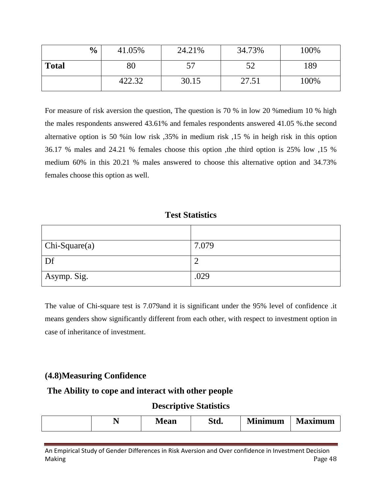| $\frac{0}{0}$ | 41.05% | 24.21% | 34.73% | 100% |
|---------------|--------|--------|--------|------|
| <b>Total</b>  | $80\,$ |        | 52     | 189  |
|               | 422.32 | 30.15  | 27.51  | 100% |

For measure of risk aversion the question, The question is 70 % in low 20 %medium 10 % high the males respondents answered 43.61% and females respondents answered 41.05 %.the second alternative option is 50 %in low risk ,35% in medium risk ,15 % in heigh risk in this option 36.17 % males and 24.21 % females choose this option ,the third option is 25% low ,15 % medium 60% in this 20.21 % males answered to choose this alternative option and 34.73% females choose this option as well.

#### **Test Statistics**

| $  Chi-Square(a) $ | 7.079 |
|--------------------|-------|
| Df                 |       |
| Asymp. Sig.        | .029  |

The value of Chi-square test is 7.079and it is significant under the 95% level of confidence .it means genders show significantly different from each other, with respect to investment option in case of inheritance of investment.

### **(4.8)Measuring Confidence**

#### **The Ability to cope and interact with other people**

#### **Descriptive Statistics**

| CL.<br>Minimum<br>ıΜ<br>Mean<br>laximum<br>Std.<br>$\overline{\phantom{0}}$ |
|-----------------------------------------------------------------------------|
|-----------------------------------------------------------------------------|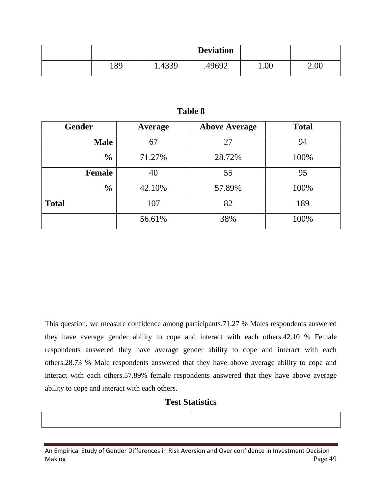|     |        | <b>Deviation</b> |      |      |
|-----|--------|------------------|------|------|
| 189 | 1.4339 | .49692           | 1.00 | 2.00 |

#### **Table 8**

| <b>Gender</b> | Average | <b>Above Average</b> | <b>Total</b> |
|---------------|---------|----------------------|--------------|
| <b>Male</b>   | 67      | 27                   | 94           |
| $\frac{0}{0}$ | 71.27%  | 28.72%               | 100%         |
| <b>Female</b> | 40      | 55                   | 95           |
| $\frac{0}{0}$ | 42.10%  | 57.89%               | 100%         |
| <b>Total</b>  | 107     | 82                   | 189          |
|               | 56.61%  | 38%                  | 100%         |

This question, we measure confidence among participants.71.27 % Males respondents answered they have average gender ability to cope and interact with each others.42.10 % Female respondents answered they have average gender ability to cope and interact with each others.28.73 % Male respondents answered that they have above average ability to cope and interact with each others.57.89% female respondents answered that they have above average ability to cope and interact with each others.

#### **Test Statistics**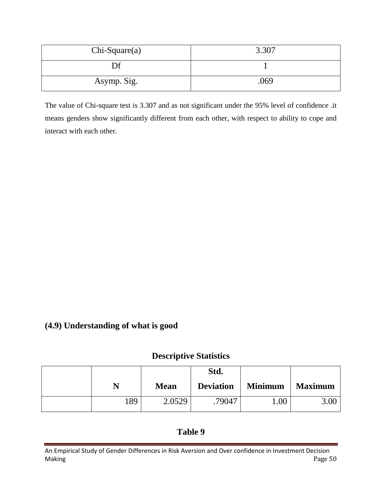| $Chi-Square(a)$ | 3.307 |
|-----------------|-------|
| Df              |       |
| Asymp. Sig.     | .069  |

The value of Chi-square test is 3.307 and as not significant under the 95% level of confidence .it means genders show significantly different from each other, with respect to ability to cope and interact with each other.

### **(4.9) Understanding of what is good**

### **Descriptive Statistics**

|     |             | Std.             |                |                |
|-----|-------------|------------------|----------------|----------------|
| N   | <b>Mean</b> | <b>Deviation</b> | <b>Minimum</b> | <b>Maximum</b> |
| 189 | 2.0529      | .79047           | 00.1           | 3.00           |

### **Table 9**

An Empirical Study of Gender Differences in Risk Aversion and Over confidence in Investment Decision Making Page 50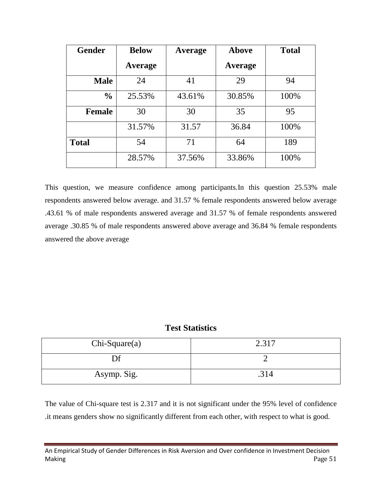| <b>Gender</b> | <b>Below</b>   | Average | <b>Above</b>   | <b>Total</b> |
|---------------|----------------|---------|----------------|--------------|
|               | <b>Average</b> |         | <b>Average</b> |              |
| <b>Male</b>   | 24             | 41      | 29             | 94           |
| $\frac{0}{0}$ | 25.53%         | 43.61%  | 30.85%         | 100%         |
| <b>Female</b> | 30             | 30      | 35             | 95           |
|               | 31.57%         | 31.57   | 36.84          | 100%         |
| <b>Total</b>  | 54             | 71      | 64             | 189          |
|               | 28.57%         | 37.56%  | 33.86%         | 100%         |

This question, we measure confidence among participants.In this question 25.53% male respondents answered below average. and 31.57 % female respondents answered below average .43.61 % of male respondents answered average and 31.57 % of female respondents answered average .30.85 % of male respondents answered above average and 36.84 % female respondents answered the above average

**Test Statistics**

| $Chi-Square(a)$ | 2.317 |
|-----------------|-------|
|                 |       |
| Asymp. Sig.     | .314  |

The value of Chi-square test is 2.317 and it is not significant under the 95% level of confidence .it means genders show no significantly different from each other, with respect to what is good.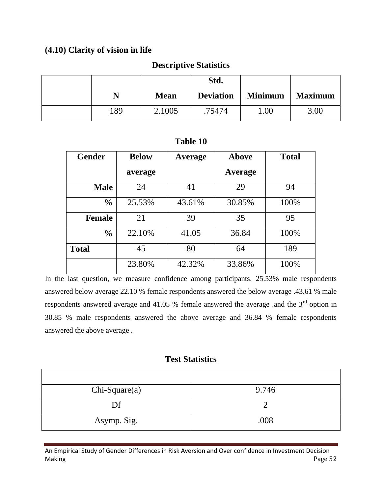### **(4.10) Clarity of vision in life**

#### **Descriptive Statistics**

|     |             | Std.             |                |                |
|-----|-------------|------------------|----------------|----------------|
| N   | <b>Mean</b> | <b>Deviation</b> | <b>Minimum</b> | <b>Maximum</b> |
| 189 | 2.1005      | .75474           | 00.1           | 3.00           |

### **Table 10**

| <b>Gender</b> | <b>Below</b> | Average | <b>Above</b> | <b>Total</b> |
|---------------|--------------|---------|--------------|--------------|
|               | average      |         | Average      |              |
| <b>Male</b>   | 24           | 41      | 29           | 94           |
| $\frac{0}{0}$ | 25.53%       | 43.61%  | 30.85%       | 100%         |
| <b>Female</b> | 21           | 39      | 35           | 95           |
| $\frac{0}{0}$ | 22.10%       | 41.05   | 36.84        | 100%         |
| <b>Total</b>  | 45           | 80      | 64           | 189          |
|               | 23.80%       | 42.32%  | 33.86%       | 100%         |

In the last question, we measure confidence among participants. 25.53% male respondents answered below average 22.10 % female respondents answered the below average .43.61 % male respondents answered average and 41.05 % female answered the average .and the  $3<sup>rd</sup>$  option in 30.85 % male respondents answered the above average and 36.84 % female respondents answered the above average .

# **Test Statistics**

| $Chi-Square(a)$ | 9.746 |
|-----------------|-------|
| Df              |       |
| Asymp. Sig.     | .008  |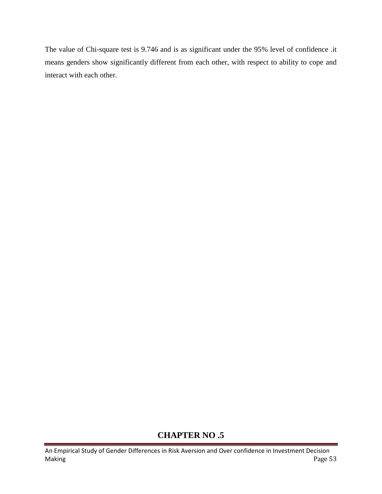The value of Chi-square test is 9.746 and is as significant under the 95% level of confidence .it means genders show significantly different from each other, with respect to ability to cope and interact with each other.

# **CHAPTER NO .5**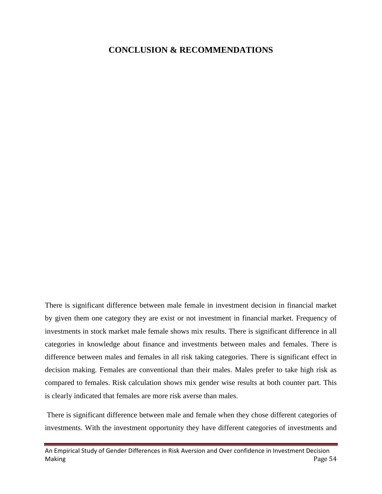#### **CONCLUSION & RECOMMENDATIONS**

There is significant difference between male female in investment decision in financial market by given them one category they are exist or not investment in financial market. Frequency of investments in stock market male female shows mix results. There is significant difference in all categories in knowledge about finance and investments between males and females. There is difference between males and females in all risk taking categories. There is significant effect in decision making. Females are conventional than their males. Males prefer to take high risk as compared to females. Risk calculation shows mix gender wise results at both counter part. This is clearly indicated that females are more risk averse than males.

There is significant difference between male and female when they chose different categories of investments. With the investment opportunity they have different categories of investments and

An Empirical Study of Gender Differences in Risk Aversion and Over confidence in Investment Decision Making Page 54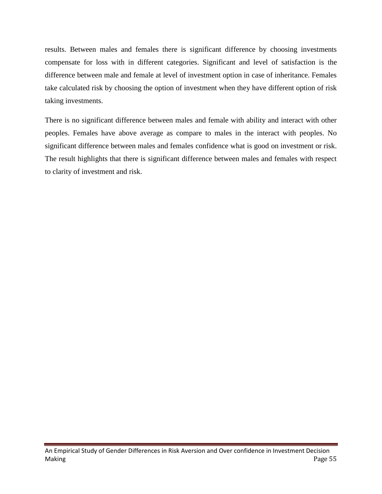results. Between males and females there is significant difference by choosing investments compensate for loss with in different categories. Significant and level of satisfaction is the difference between male and female at level of investment option in case of inheritance. Females take calculated risk by choosing the option of investment when they have different option of risk taking investments.

There is no significant difference between males and female with ability and interact with other peoples. Females have above average as compare to males in the interact with peoples. No significant difference between males and females confidence what is good on investment or risk. The result highlights that there is significant difference between males and females with respect to clarity of investment and risk.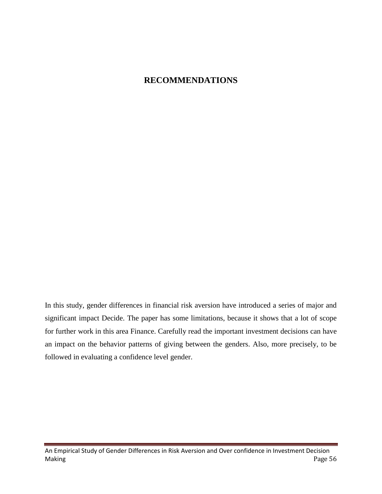# **RECOMMENDATIONS**

In this study, gender differences in financial risk aversion have introduced a series of major and significant impact Decide. The paper has some limitations, because it shows that a lot of scope for further work in this area Finance. Carefully read the important investment decisions can have an impact on the behavior patterns of giving between the genders. Also, more precisely, to be followed in evaluating a confidence level gender.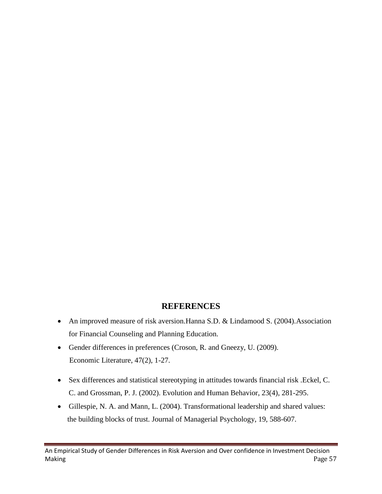### **REFERENCES**

- An improved measure of risk aversion.Hanna S.D. & Lindamood S. (2004).Association for Financial Counseling and Planning Education.
- Gender differences in preferences (Croson, R. and Gneezy, U. (2009). Economic Literature, 47(2), 1-27.
- Sex differences and statistical stereotyping in attitudes towards financial risk .Eckel, C. C. and Grossman, P. J. (2002). Evolution and Human Behavior, 23(4), 281-295.
- Gillespie, N. A. and Mann, L. (2004). Transformational leadership and shared values: the building blocks of trust. Journal of Managerial Psychology, 19, 588-607.

An Empirical Study of Gender Differences in Risk Aversion and Over confidence in Investment Decision Making Page 57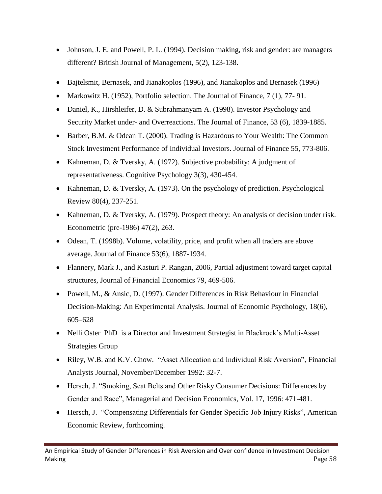- Johnson, J. E. and Powell, P. L. (1994). Decision making, risk and gender: are managers different? British Journal of Management, 5(2), 123-138.
- Bajtelsmit, Bernasek, and Jianakoplos (1996), and Jianakoplos and Bernasek (1996)
- Markowitz H. (1952), Portfolio selection. The Journal of Finance, 7 (1), 77-91.
- Daniel, K., Hirshleifer, D. & Subrahmanyam A. (1998). Investor Psychology and Security Market under- and Overreactions. The Journal of Finance, 53 (6), 1839-1885.
- Barber, B.M. & Odean T. (2000). Trading is Hazardous to Your Wealth: The Common Stock Investment Performance of Individual Investors. Journal of Finance 55, 773-806.
- Kahneman, D. & Tversky, A. (1972). Subjective probability: A judgment of representativeness. Cognitive Psychology 3(3), 430-454.
- Kahneman, D. & Tversky, A. (1973). On the psychology of prediction. Psychological Review 80(4), 237-251.
- Kahneman, D. & Tversky, A. (1979). Prospect theory: An analysis of decision under risk. Econometric (pre-1986) 47(2), 263.
- Odean, T. (1998b). Volume, volatility, price, and profit when all traders are above average. Journal of Finance 53(6), 1887-1934.
- Flannery, Mark J., and Kasturi P. Rangan, 2006, Partial adjustment toward target capital structures, Journal of Financial Economics 79, 469-506.
- Powell, M., & Ansic, D. (1997). Gender Differences in Risk Behaviour in Financial Decision-Making: An Experimental Analysis. Journal of Economic Psychology, 18(6), 605–628
- Nelli Oster PhD is a Director and Investment Strategist in Blackrock's Multi-Asset Strategies Group
- Riley, W.B. and K.V. Chow. "Asset Allocation and Individual Risk Aversion", Financial Analysts Journal, November/December 1992: 32-7.
- Hersch, J. "Smoking, Seat Belts and Other Risky Consumer Decisions: Differences by Gender and Race", Managerial and Decision Economics, Vol. 17, 1996: 471-481.
- Hersch, J. "Compensating Differentials for Gender Specific Job Injury Risks", American Economic Review, forthcoming.

An Empirical Study of Gender Differences in Risk Aversion and Over confidence in Investment Decision Making Page 58